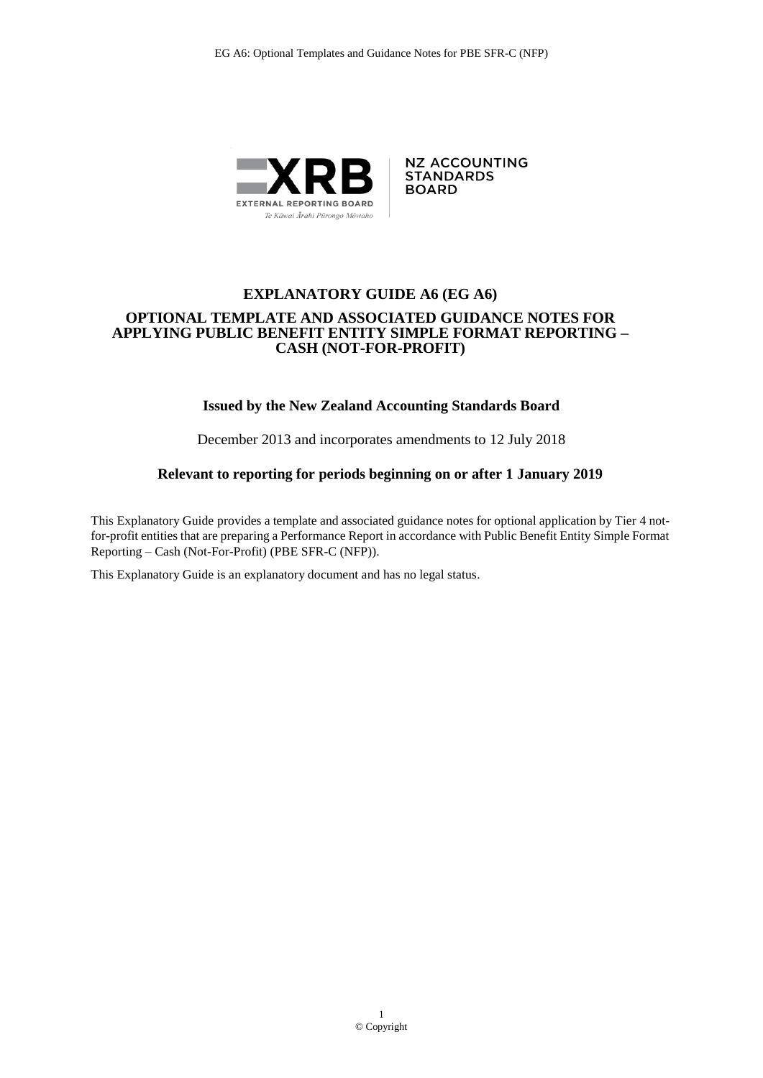

**NZ ACCOUNTING STANDARDS BOARD** 

### **EXPLANATORY GUIDE A6 (EG A6) OPTIONAL TEMPLATE AND ASSOCIATED GUIDANCE NOTES FOR APPLYING PUBLIC BENEFIT ENTITY SIMPLE FORMAT REPORTING – CASH (NOT-FOR-PROFIT)**

### **Issued by the New Zealand Accounting Standards Board**

December 2013 and incorporates amendments to 12 July 2018

### **Relevant to reporting for periods beginning on or after 1 January 2019**

This Explanatory Guide provides a template and associated guidance notes for optional application by Tier 4 notfor-profit entities that are preparing a Performance Report in accordance with Public Benefit Entity Simple Format Reporting – Cash (Not-For-Profit) (PBE SFR-C (NFP)).

This Explanatory Guide is an explanatory document and has no legal status.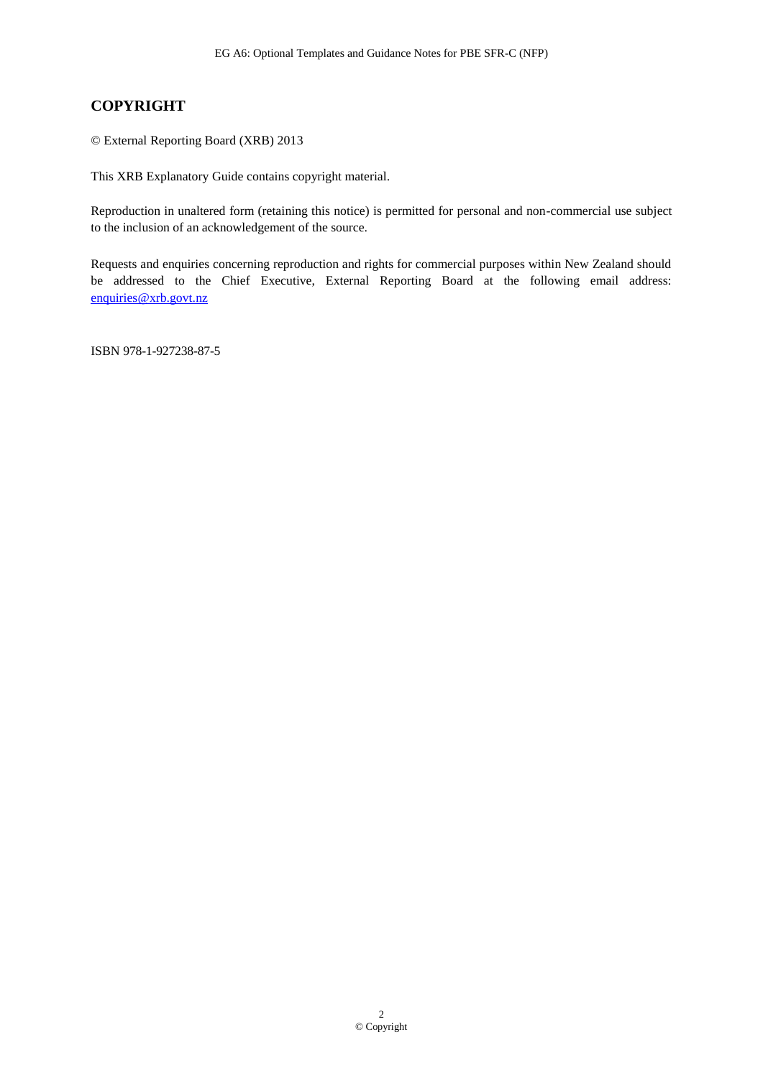### **COPYRIGHT**

© External Reporting Board (XRB) 2013

This XRB Explanatory Guide contains copyright material.

Reproduction in unaltered form (retaining this notice) is permitted for personal and non-commercial use subject to the inclusion of an acknowledgement of the source.

Requests and enquiries concerning reproduction and rights for commercial purposes within New Zealand should be addressed to the Chief Executive, External Reporting Board at the following email address: [enquiries@xrb.govt.nz](mailto:enquiries@xrb.govt.nz)

ISBN 978-1-927238-87-5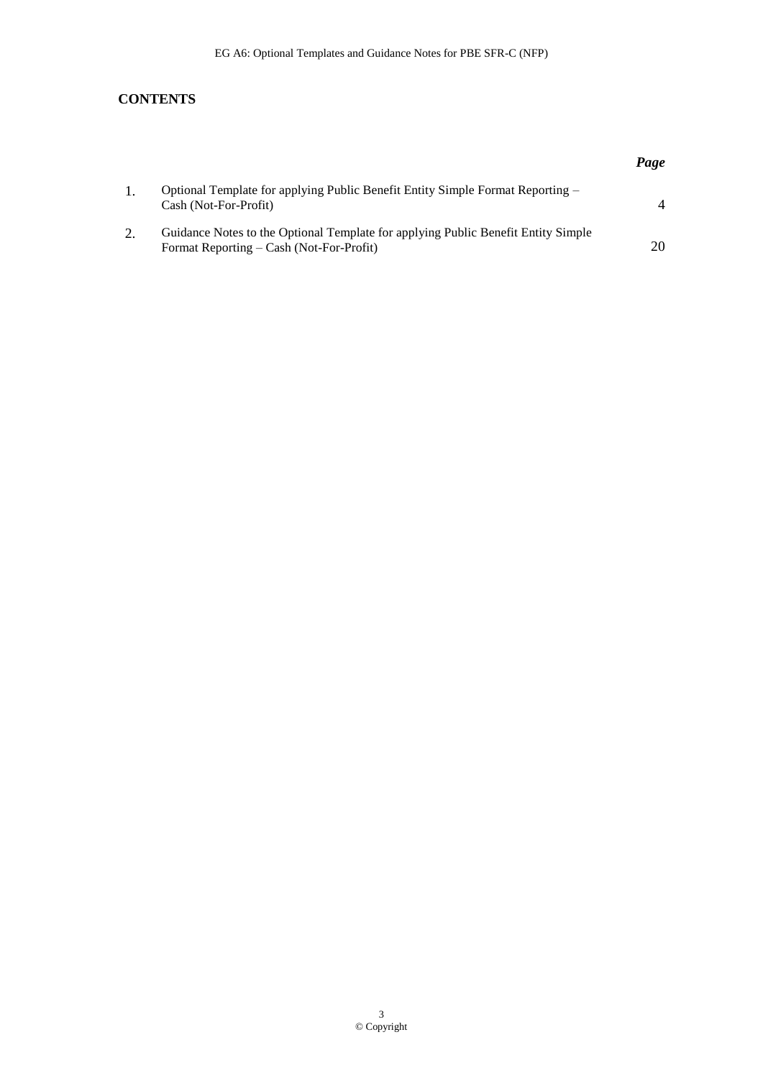### **CONTENTS**

|    |                                                                                                                               | Page |
|----|-------------------------------------------------------------------------------------------------------------------------------|------|
|    | Optional Template for applying Public Benefit Entity Simple Format Reporting –<br>Cash (Not-For-Profit)                       |      |
| 2. | Guidance Notes to the Optional Template for applying Public Benefit Entity Simple<br>Format Reporting – Cash (Not-For-Profit) | 20   |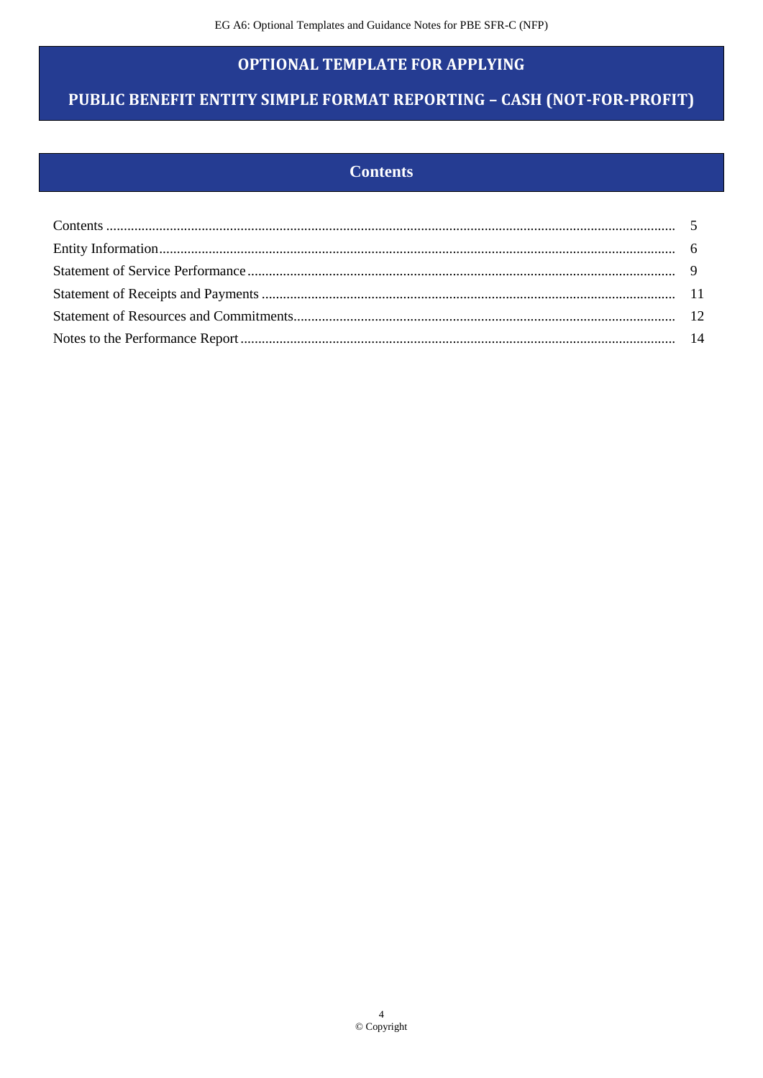### **OPTIONAL TEMPLATE FOR APPLYING**

# PUBLIC BENEFIT ENTITY SIMPLE FORMAT REPORTING - CASH (NOT-FOR-PROFIT)

### **Contents**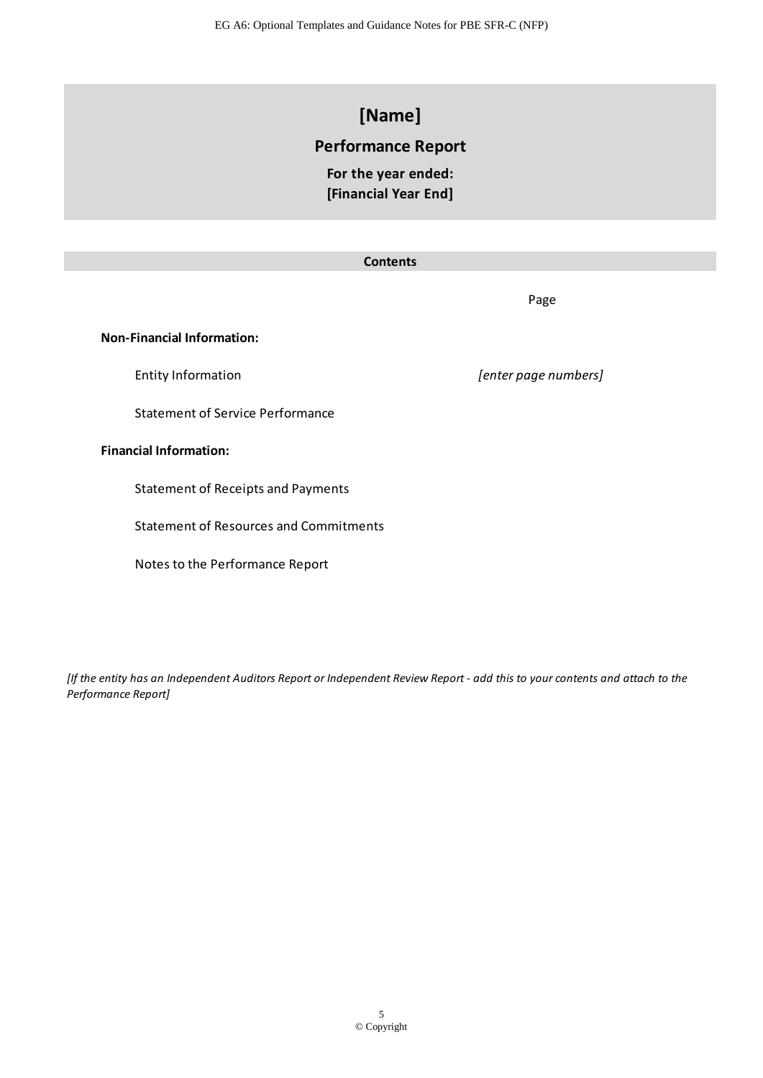EG A6: Optional Templates and Guidance Notes for PBE SFR-C (NFP)

# **[Name]**

### **Performance Report**

**For the year ended: [Financial Year End]**

### **Contents**

Page

### **Non-Financial Information:**

Statement of Service Performance

### **Financial Information:**

Statement of Receipts and Payments

Statement of Resources and Commitments

Notes to the Performance Report

Entity Information *[enter page numbers]*

*[If the entity has an Independent Auditors Report or Independent Review Report - add this to your contents and attach to the Performance Report]*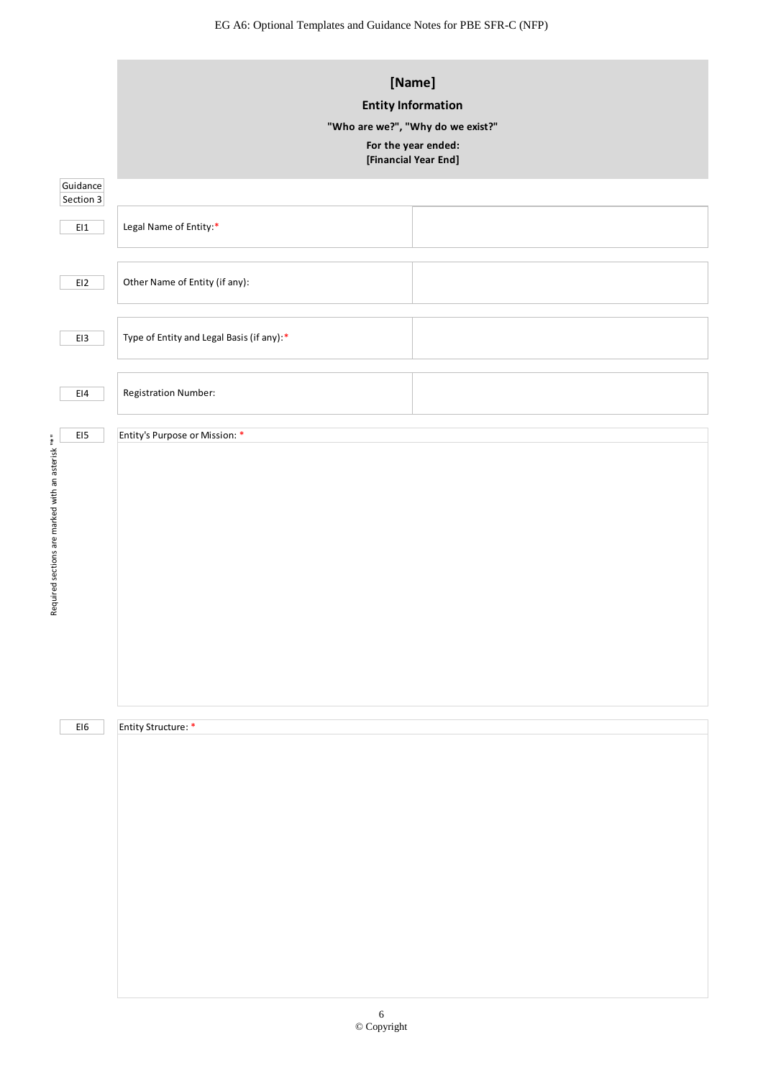EG A6: Optional Templates and Guidance Notes for PBE SFR-C (NFP)

|                                                   | [Name]<br><b>Entity Information</b><br>"Who are we?", "Why do we exist?"<br>For the year ended:<br>[Financial Year End] |  |  |
|---------------------------------------------------|-------------------------------------------------------------------------------------------------------------------------|--|--|
| Guidance<br>Section 3                             |                                                                                                                         |  |  |
| $E11$                                             | Legal Name of Entity:*                                                                                                  |  |  |
| E12                                               | Other Name of Entity (if any):                                                                                          |  |  |
| EI3                                               | Type of Entity and Legal Basis (if any):*                                                                               |  |  |
| E14                                               | Registration Number:                                                                                                    |  |  |
| EI5                                               | Entity's Purpose or Mission: *                                                                                          |  |  |
| Required sections are marked with an asterisk "*" |                                                                                                                         |  |  |
| $E16$                                             | Entity Structure: *                                                                                                     |  |  |
|                                                   |                                                                                                                         |  |  |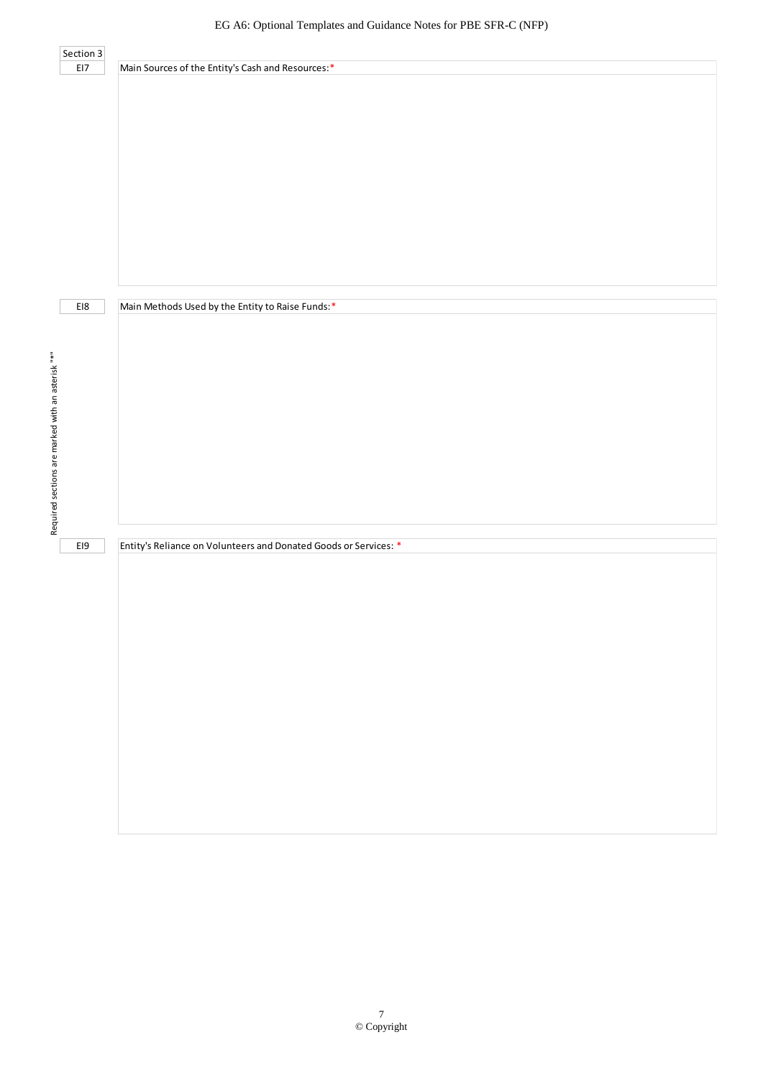|                                                   | Section 3 |                                                                  |
|---------------------------------------------------|-----------|------------------------------------------------------------------|
|                                                   | EI7       | Main Sources of the Entity's Cash and Resources:*                |
|                                                   |           |                                                                  |
|                                                   |           |                                                                  |
|                                                   |           |                                                                  |
|                                                   |           |                                                                  |
|                                                   |           |                                                                  |
|                                                   |           |                                                                  |
|                                                   |           |                                                                  |
|                                                   |           |                                                                  |
|                                                   |           |                                                                  |
|                                                   |           |                                                                  |
|                                                   |           |                                                                  |
|                                                   |           |                                                                  |
|                                                   |           |                                                                  |
|                                                   |           |                                                                  |
|                                                   |           |                                                                  |
|                                                   |           |                                                                  |
|                                                   |           |                                                                  |
|                                                   |           |                                                                  |
|                                                   | EI8       | Main Methods Used by the Entity to Raise Funds:*                 |
|                                                   |           |                                                                  |
|                                                   |           |                                                                  |
|                                                   |           |                                                                  |
|                                                   |           |                                                                  |
|                                                   |           |                                                                  |
|                                                   |           |                                                                  |
|                                                   |           |                                                                  |
| Required sections are marked with an asterisk "*" |           |                                                                  |
|                                                   |           |                                                                  |
|                                                   |           |                                                                  |
|                                                   |           |                                                                  |
|                                                   |           |                                                                  |
|                                                   |           |                                                                  |
|                                                   |           |                                                                  |
|                                                   |           |                                                                  |
|                                                   |           |                                                                  |
|                                                   |           |                                                                  |
|                                                   | EI9       | Entity's Reliance on Volunteers and Donated Goods or Services: * |
|                                                   |           |                                                                  |
|                                                   |           |                                                                  |
|                                                   |           |                                                                  |
|                                                   |           |                                                                  |
|                                                   |           |                                                                  |
|                                                   |           |                                                                  |
|                                                   |           |                                                                  |
|                                                   |           |                                                                  |
|                                                   |           |                                                                  |
|                                                   |           |                                                                  |
|                                                   |           |                                                                  |
|                                                   |           |                                                                  |
|                                                   |           |                                                                  |
|                                                   |           |                                                                  |
|                                                   |           |                                                                  |
|                                                   |           |                                                                  |
|                                                   |           |                                                                  |
|                                                   |           |                                                                  |
|                                                   |           |                                                                  |
|                                                   |           |                                                                  |
|                                                   |           |                                                                  |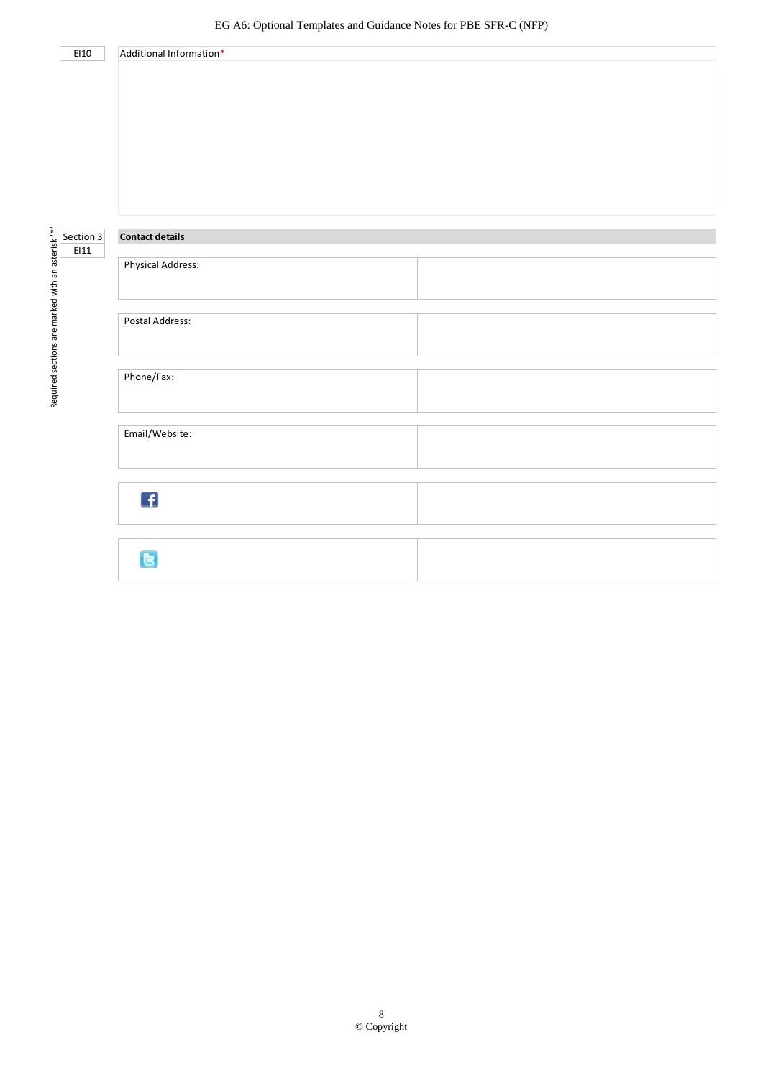|                                                                                                                                                                                                                                |                         | EG A6: Optional Templates and Guidance Notes for PBE SFR-C (NFP) |  |
|--------------------------------------------------------------------------------------------------------------------------------------------------------------------------------------------------------------------------------|-------------------------|------------------------------------------------------------------|--|
| EI10                                                                                                                                                                                                                           | Additional Information* |                                                                  |  |
|                                                                                                                                                                                                                                |                         |                                                                  |  |
|                                                                                                                                                                                                                                |                         |                                                                  |  |
|                                                                                                                                                                                                                                |                         |                                                                  |  |
|                                                                                                                                                                                                                                |                         |                                                                  |  |
|                                                                                                                                                                                                                                |                         |                                                                  |  |
|                                                                                                                                                                                                                                |                         |                                                                  |  |
|                                                                                                                                                                                                                                |                         |                                                                  |  |
|                                                                                                                                                                                                                                | <b>Contact details</b>  |                                                                  |  |
|                                                                                                                                                                                                                                |                         |                                                                  |  |
|                                                                                                                                                                                                                                | Physical Address:       |                                                                  |  |
| is a section 3 section 3 in the street with a street with a street with a street with a street with a street with a street with a street with a street with a street with a street with a street with a street with a street w |                         |                                                                  |  |
|                                                                                                                                                                                                                                |                         |                                                                  |  |
|                                                                                                                                                                                                                                | Postal Address:         |                                                                  |  |
|                                                                                                                                                                                                                                |                         |                                                                  |  |
|                                                                                                                                                                                                                                | Phone/Fax:              |                                                                  |  |
|                                                                                                                                                                                                                                |                         |                                                                  |  |
|                                                                                                                                                                                                                                |                         |                                                                  |  |
|                                                                                                                                                                                                                                | Email/Website:          |                                                                  |  |
|                                                                                                                                                                                                                                |                         |                                                                  |  |
|                                                                                                                                                                                                                                |                         |                                                                  |  |
|                                                                                                                                                                                                                                | $\mathbf{f}$            |                                                                  |  |
|                                                                                                                                                                                                                                |                         |                                                                  |  |
|                                                                                                                                                                                                                                |                         |                                                                  |  |
|                                                                                                                                                                                                                                | G                       |                                                                  |  |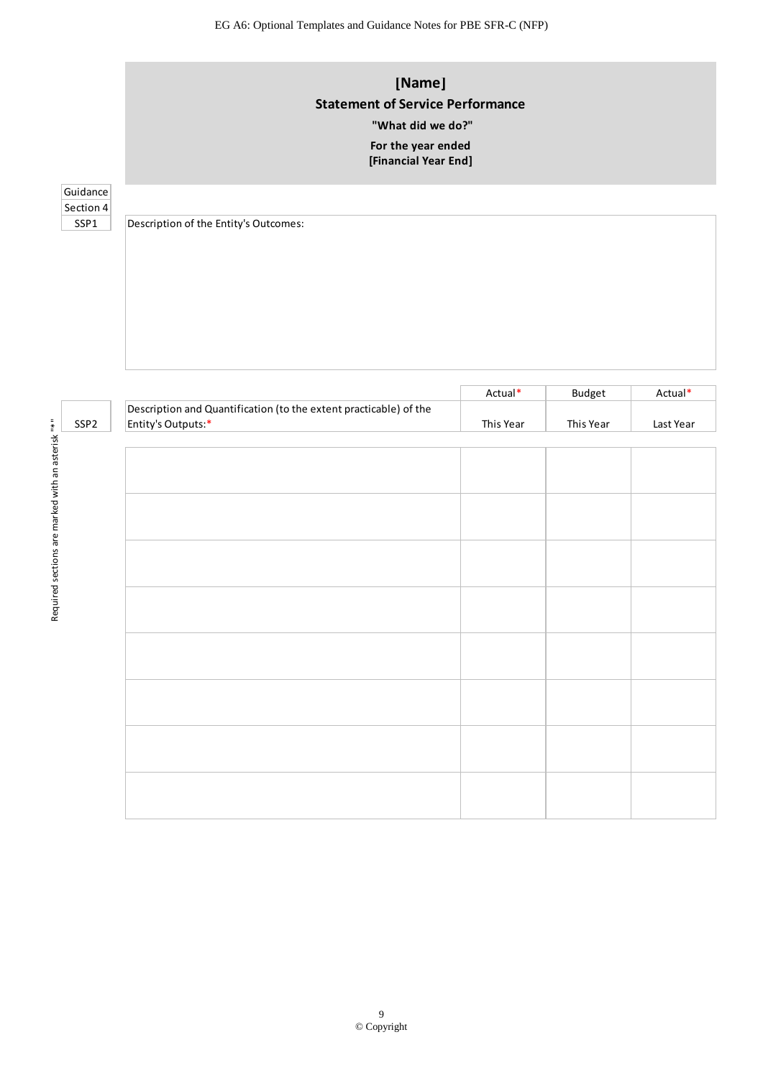# **[Name] Statement of Service Performance**

# **"What did we do?"**

#### **[Financial Year End] For the year ended**

### **Guidance** Section 4

SSP1 Description of the Entity's Outcomes:

|                  |                                                                                         | Actual*   | Budget    | Actual*   |
|------------------|-----------------------------------------------------------------------------------------|-----------|-----------|-----------|
| SSP <sub>2</sub> | Description and Quantification (to the extent practicable) of the<br>Entity's Outputs:* | This Year | This Year | Last Year |
|                  |                                                                                         |           |           |           |
|                  |                                                                                         |           |           |           |
|                  |                                                                                         |           |           |           |
|                  |                                                                                         |           |           |           |
|                  |                                                                                         |           |           |           |
|                  |                                                                                         |           |           |           |
|                  |                                                                                         |           |           |           |
|                  |                                                                                         |           |           |           |
|                  |                                                                                         |           |           |           |
|                  |                                                                                         |           |           |           |
|                  |                                                                                         |           |           |           |
|                  |                                                                                         |           |           |           |
|                  |                                                                                         |           |           |           |
|                  |                                                                                         |           |           |           |
|                  |                                                                                         |           |           |           |
|                  |                                                                                         |           |           |           |
|                  |                                                                                         |           |           |           |
|                  |                                                                                         |           |           |           |
|                  |                                                                                         |           |           |           |
|                  |                                                                                         |           |           |           |
|                  |                                                                                         |           |           |           |
|                  |                                                                                         |           |           |           |
|                  |                                                                                         |           |           |           |
|                  |                                                                                         |           |           |           |
|                  |                                                                                         |           |           |           |
|                  |                                                                                         |           |           |           |
|                  |                                                                                         |           |           |           |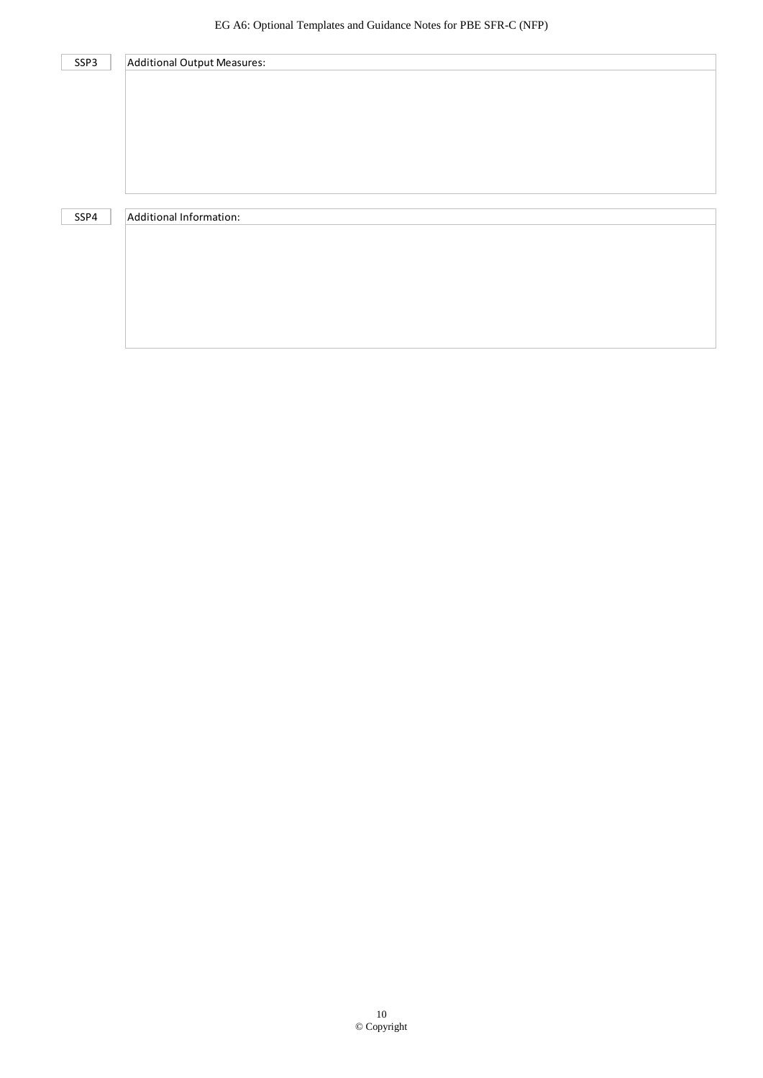| SSP3 | Additional Output Measures: |
|------|-----------------------------|
|      |                             |
|      |                             |
|      |                             |
|      |                             |
|      |                             |
|      |                             |
|      |                             |
| SSP4 | Additional Information:     |
|      |                             |
|      |                             |
|      |                             |
|      |                             |
|      |                             |
|      |                             |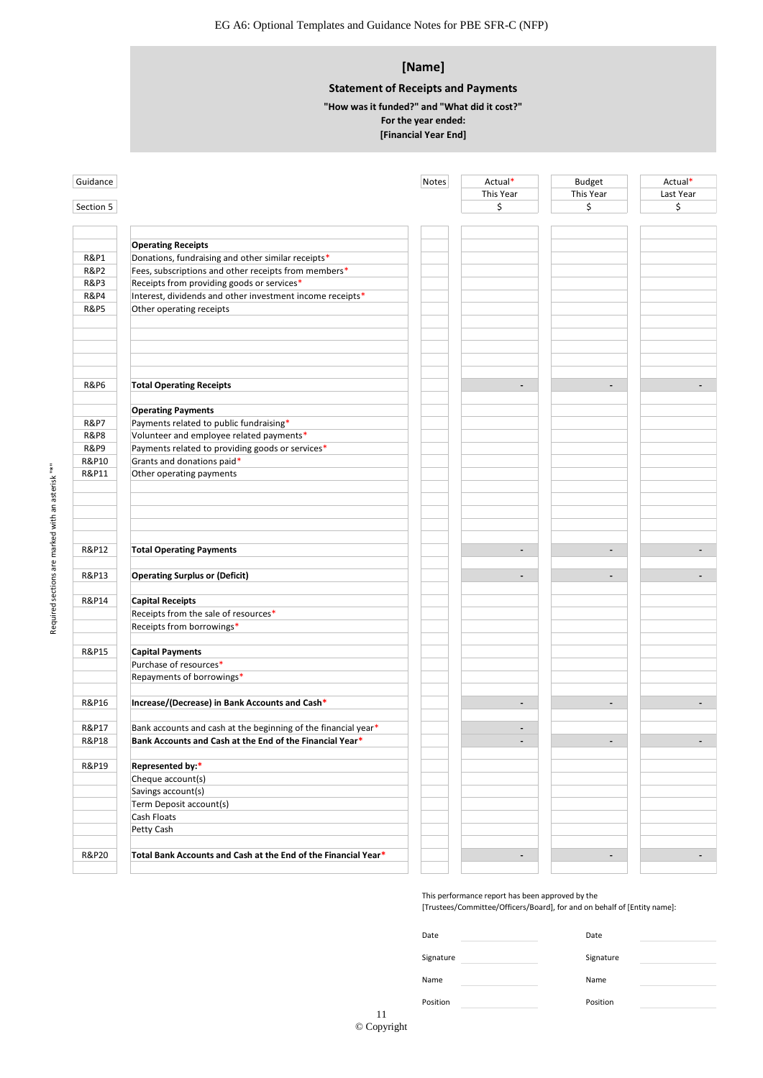### **[Name]**

### **Statement of Receipts and Payments**

**For the year ended: "How was it funded?" and "What did it cost?"**

### **[Financial Year End]**

| Guidance        |                                                                | Notes | Actual*<br>This Year         | <b>Budget</b><br>This Year | Actual*<br>Last Year |
|-----------------|----------------------------------------------------------------|-------|------------------------------|----------------------------|----------------------|
| Section 5       |                                                                |       | \$                           | \$                         | \$                   |
|                 |                                                                |       |                              |                            |                      |
|                 |                                                                |       |                              |                            |                      |
|                 | <b>Operating Receipts</b>                                      |       |                              |                            |                      |
| <b>R&amp;P1</b> | Donations, fundraising and other similar receipts*             |       |                              |                            |                      |
| <b>R&amp;P2</b> | Fees, subscriptions and other receipts from members*           |       |                              |                            |                      |
| <b>R&amp;P3</b> | Receipts from providing goods or services*                     |       |                              |                            |                      |
| <b>R&amp;P4</b> | Interest, dividends and other investment income receipts*      |       |                              |                            |                      |
| <b>R&amp;P5</b> | Other operating receipts                                       |       |                              |                            |                      |
|                 |                                                                |       |                              |                            |                      |
| <b>R&amp;P6</b> | <b>Total Operating Receipts</b>                                |       | ÷.                           | $\overline{\phantom{a}}$   |                      |
|                 | <b>Operating Payments</b>                                      |       |                              |                            |                      |
| <b>R&amp;P7</b> | Payments related to public fundraising*                        |       |                              |                            |                      |
| <b>R&amp;P8</b> | Volunteer and employee related payments*                       |       |                              |                            |                      |
| <b>R&amp;P9</b> | Payments related to providing goods or services*               |       |                              |                            |                      |
| R&P10           | Grants and donations paid*                                     |       |                              |                            |                      |
| R&P11           | Other operating payments                                       |       |                              |                            |                      |
|                 |                                                                |       |                              |                            |                      |
|                 |                                                                |       |                              |                            |                      |
|                 |                                                                |       |                              |                            |                      |
|                 |                                                                |       |                              |                            |                      |
| R&P12           | <b>Total Operating Payments</b>                                |       | $\qquad \qquad \blacksquare$ | $\overline{\phantom{a}}$   |                      |
|                 |                                                                |       |                              |                            |                      |
| R&P13           | <b>Operating Surplus or (Deficit)</b>                          |       | $\overline{\phantom{0}}$     | $\overline{\phantom{a}}$   |                      |
| R&P14           | <b>Capital Receipts</b>                                        |       |                              |                            |                      |
|                 | Receipts from the sale of resources*                           |       |                              |                            |                      |
|                 | Receipts from borrowings*                                      |       |                              |                            |                      |
|                 |                                                                |       |                              |                            |                      |
| R&P15           | <b>Capital Payments</b>                                        |       |                              |                            |                      |
|                 | Purchase of resources*                                         |       |                              |                            |                      |
|                 | Repayments of borrowings*                                      |       |                              |                            |                      |
| R&P16           | Increase/(Decrease) in Bank Accounts and Cash*                 |       | $\overline{\phantom{0}}$     | $\overline{\phantom{a}}$   |                      |
| R&P17           | Bank accounts and cash at the beginning of the financial year* |       |                              |                            |                      |
| R&P18           | Bank Accounts and Cash at the End of the Financial Year*       |       |                              |                            |                      |
| R&P19           | Represented by:*                                               |       |                              |                            |                      |
|                 | Cheque account(s)                                              |       |                              |                            |                      |
|                 | Savings account(s)                                             |       |                              |                            |                      |
|                 | Term Deposit account(s)                                        |       |                              |                            |                      |
|                 | Cash Floats                                                    |       |                              |                            |                      |
|                 | Petty Cash                                                     |       |                              |                            |                      |
| R&P20           | Total Bank Accounts and Cash at the End of the Financial Year* |       | $\overline{a}$               | $\overline{\phantom{a}}$   |                      |
|                 |                                                                |       |                              |                            |                      |

| Date      | Date      |  |
|-----------|-----------|--|
| Signature | Signature |  |
|           |           |  |
| Name      | Name      |  |
| Position  | Position  |  |

| 11                |  |
|-------------------|--|
| $\circ$ Copyright |  |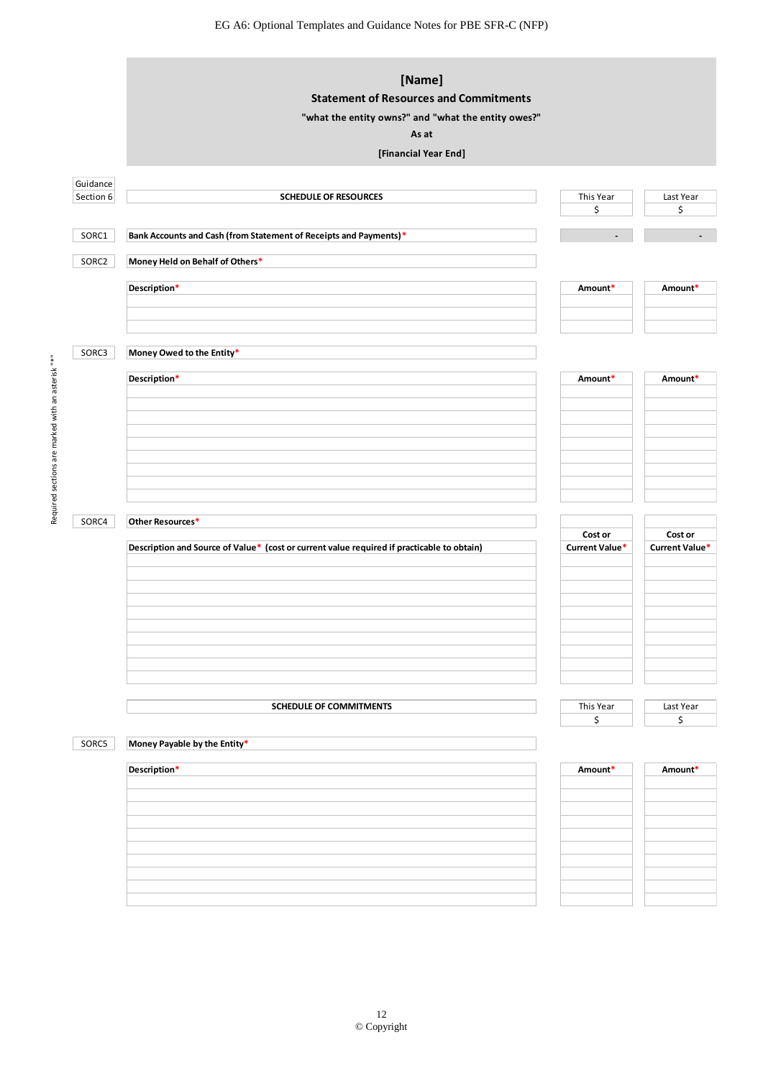EG A6: Optional Templates and Guidance Notes for PBE SFR-C (NFP)

|           | [Name]<br><b>Statement of Resources and Commitments</b>                                    |                |                          |
|-----------|--------------------------------------------------------------------------------------------|----------------|--------------------------|
|           | "what the entity owns?" and "what the entity owes?"                                        |                |                          |
|           | As at                                                                                      |                |                          |
|           | [Financial Year End]                                                                       |                |                          |
| Guidance  |                                                                                            |                |                          |
| Section 6 | <b>SCHEDULE OF RESOURCES</b>                                                               | This Year      | Last Year                |
|           |                                                                                            | \$             | \$                       |
| SORC1     | Bank Accounts and Cash (from Statement of Receipts and Payments)*                          |                | $\overline{\phantom{a}}$ |
| SORC2     | Money Held on Behalf of Others*                                                            |                |                          |
|           | Description*                                                                               | Amount*        | Amount*                  |
|           |                                                                                            |                |                          |
|           |                                                                                            |                |                          |
| SORC3     | Money Owed to the Entity*                                                                  |                |                          |
|           |                                                                                            |                |                          |
|           | Description*                                                                               | Amount*        | Amount*                  |
|           |                                                                                            |                |                          |
|           |                                                                                            |                |                          |
|           |                                                                                            |                |                          |
|           |                                                                                            |                |                          |
|           |                                                                                            |                |                          |
|           |                                                                                            |                |                          |
| SORC4     | Other Resources*                                                                           |                |                          |
|           |                                                                                            | Cost or        | Cost or                  |
|           | Description and Source of Value* (cost or current value required if practicable to obtain) | Current Value* | Current Value*           |
|           |                                                                                            |                |                          |
|           |                                                                                            |                |                          |
|           |                                                                                            |                |                          |
|           |                                                                                            |                |                          |
|           |                                                                                            |                |                          |
|           |                                                                                            |                |                          |
|           |                                                                                            |                |                          |
|           | <b>SCHEDULE OF COMMITMENTS</b>                                                             | This Year      | Last Year                |
|           |                                                                                            | \$             | \$                       |
| SORC5     | Money Payable by the Entity*                                                               |                |                          |
|           | Description*                                                                               | Amount*        | Amount*                  |
|           |                                                                                            |                |                          |
|           |                                                                                            |                |                          |
|           |                                                                                            |                |                          |
|           |                                                                                            |                |                          |
|           |                                                                                            |                |                          |
|           |                                                                                            |                |                          |
|           |                                                                                            |                |                          |
|           |                                                                                            |                |                          |

Required sections are marked with an asterisk "\*"

Required sections are marked with an asterisk "\*"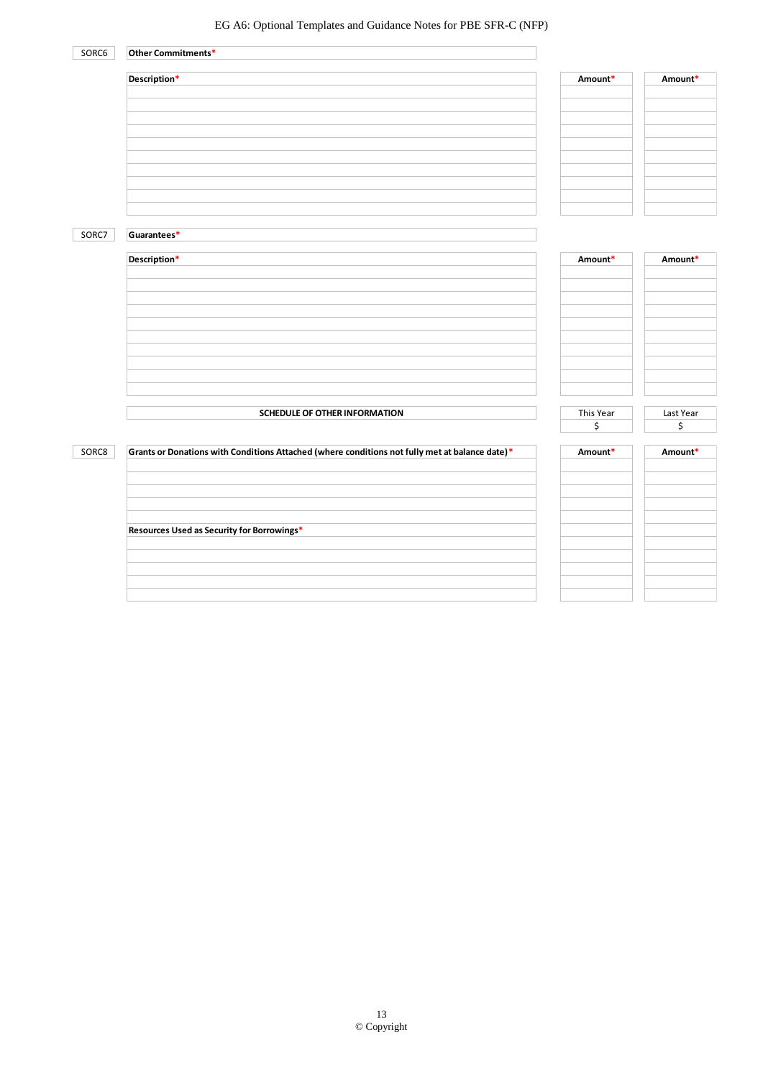| SORC6 | Other Commitments*                                                                             |                 |                 |
|-------|------------------------------------------------------------------------------------------------|-----------------|-----------------|
|       | Description*                                                                                   | Amount*         | Amount*         |
|       |                                                                                                |                 |                 |
| SORC7 | Guarantees*                                                                                    |                 |                 |
|       | Description*                                                                                   | Amount*         | Amount*         |
|       | SCHEDULE OF OTHER INFORMATION                                                                  | This Year<br>\$ | Last Year<br>\$ |
| SORC8 | Grants or Donations with Conditions Attached (where conditions not fully met at balance date)* | Amount*         | Amount*         |
|       | Resources Used as Security for Borrowings*                                                     |                 |                 |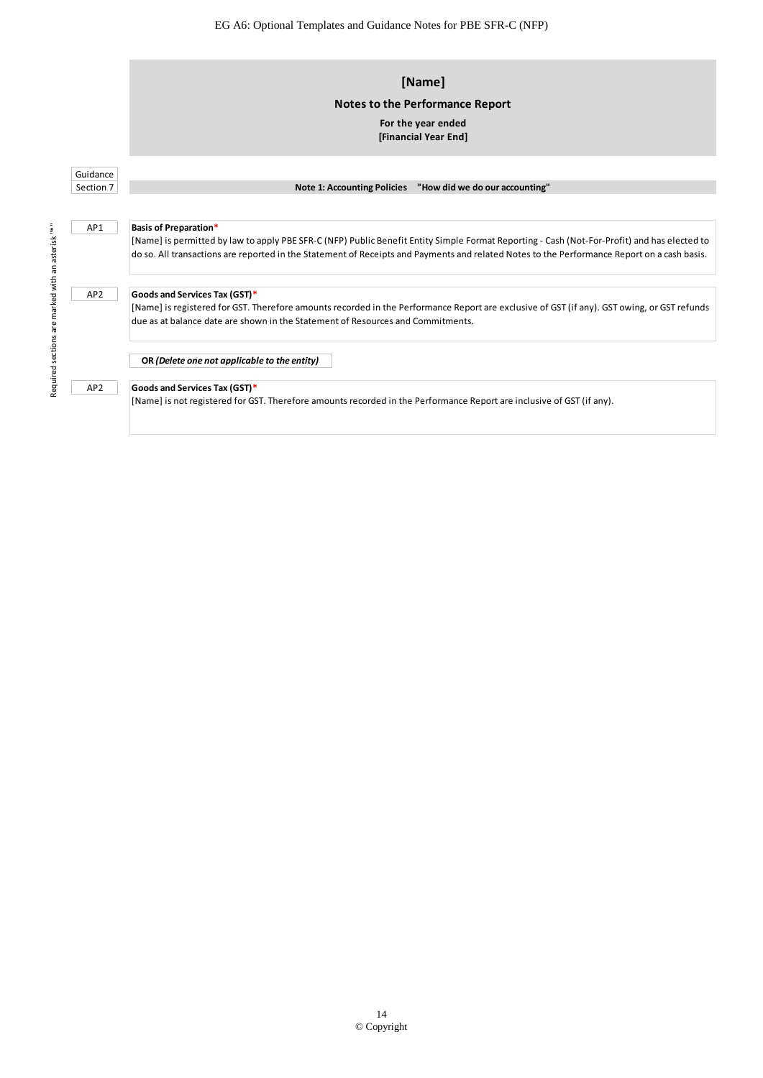|                                               | [Name]                                                                                                                                       |
|-----------------------------------------------|----------------------------------------------------------------------------------------------------------------------------------------------|
|                                               | Notes to the Performance Report                                                                                                              |
|                                               | For the year ended                                                                                                                           |
|                                               | [Financial Year End]                                                                                                                         |
|                                               |                                                                                                                                              |
| Guidance                                      |                                                                                                                                              |
| Section 7                                     | Note 1: Accounting Policies "How did we do our accounting"                                                                                   |
|                                               |                                                                                                                                              |
| AP1                                           | <b>Basis of Preparation*</b>                                                                                                                 |
|                                               | [Name] is permitted by law to apply PBE SFR-C (NFP) Public Benefit Entity Simple Format Reporting - Cash (Not-For-Profit) and has elected to |
|                                               | do so. All transactions are reported in the Statement of Receipts and Payments and related Notes to the Performance Report on a cash basis.  |
|                                               |                                                                                                                                              |
| AP <sub>2</sub>                               | Goods and Services Tax (GST)*                                                                                                                |
|                                               | [Name] is registered for GST. Therefore amounts recorded in the Performance Report are exclusive of GST (if any). GST owing, or GST refunds  |
| Required sections are marked with an asterisk | due as at balance date are shown in the Statement of Resources and Commitments.                                                              |
|                                               |                                                                                                                                              |
|                                               | OR (Delete one not applicable to the entity)                                                                                                 |
| AP <sub>2</sub>                               | Goods and Services Tax (GST)*                                                                                                                |
|                                               | [Name] is not registered for GST. Therefore amounts recorded in the Performance Report are inclusive of GST (if any).                        |

14 © Copyright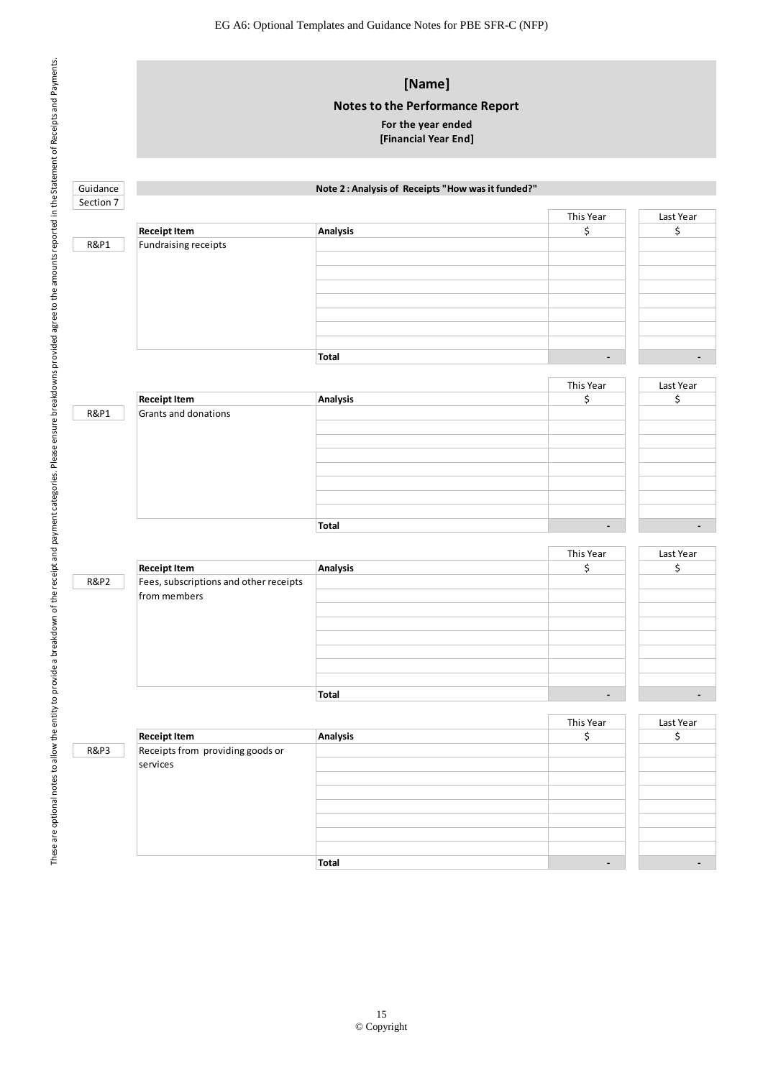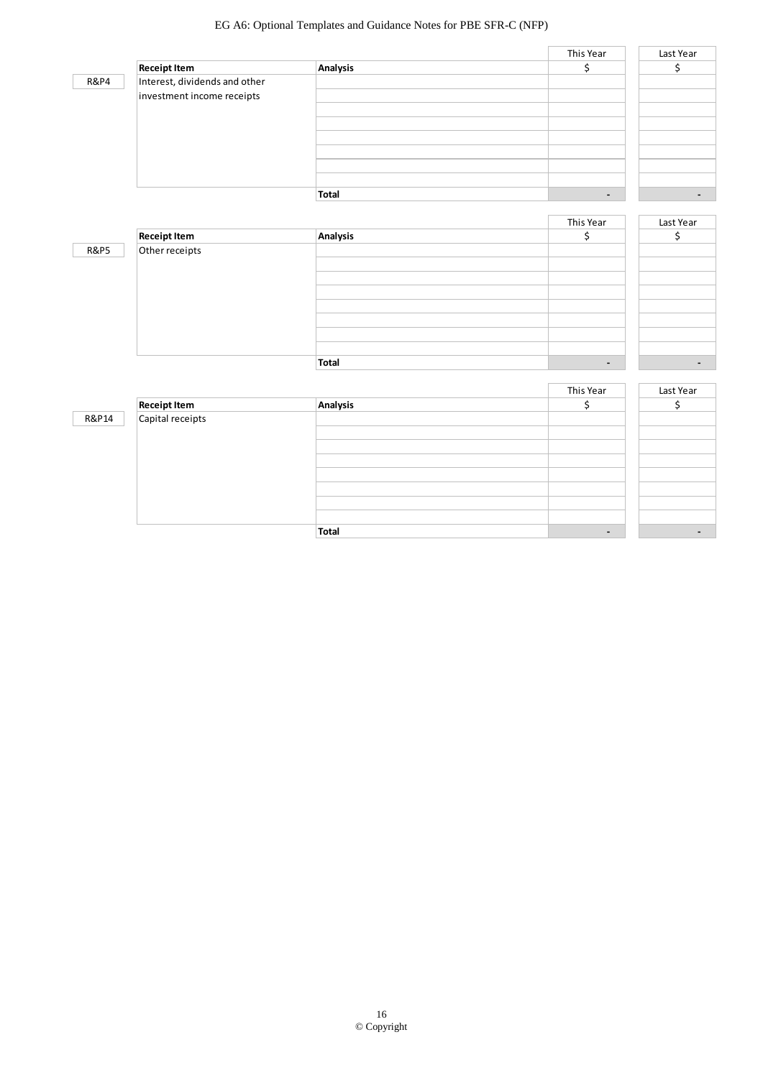### EG A6: Optional Templates and Guidance Notes for PBE SFR-C (NFP)

| <b>R&amp;P4</b> |  |
|-----------------|--|
|                 |  |

|                               |              | This Year | Last Year                |
|-------------------------------|--------------|-----------|--------------------------|
| <b>Receipt Item</b>           | Analysis     |           |                          |
| Interest, dividends and other |              |           |                          |
| investment income receipts    |              |           |                          |
|                               |              |           |                          |
|                               |              |           |                          |
|                               |              |           |                          |
|                               |              |           |                          |
|                               |              |           |                          |
|                               |              |           |                          |
|                               | <b>Total</b> | -         | $\overline{\phantom{0}}$ |

|                 |                     |          | This Year      | Last Year                |
|-----------------|---------------------|----------|----------------|--------------------------|
|                 | <b>Receipt Item</b> | Analysis |                |                          |
| <b>R&amp;P5</b> | Other receipts      |          |                |                          |
|                 |                     |          |                |                          |
|                 |                     |          |                |                          |
|                 |                     |          |                |                          |
|                 |                     |          |                |                          |
|                 |                     |          |                |                          |
|                 |                     |          |                |                          |
|                 |                     |          |                |                          |
|                 |                     | Total    | $\blacksquare$ | $\overline{\phantom{0}}$ |

|       |                                         |          | This Year      | Last Year |
|-------|-----------------------------------------|----------|----------------|-----------|
|       | <b>Receipt Item</b><br>Capital receipts | Analysis |                |           |
| R&P14 |                                         |          |                |           |
|       |                                         |          |                |           |
|       |                                         |          |                |           |
|       |                                         |          |                |           |
|       |                                         |          |                |           |
|       |                                         |          |                |           |
|       |                                         |          |                |           |
|       |                                         |          |                |           |
|       |                                         | Total    | $\blacksquare$ |           |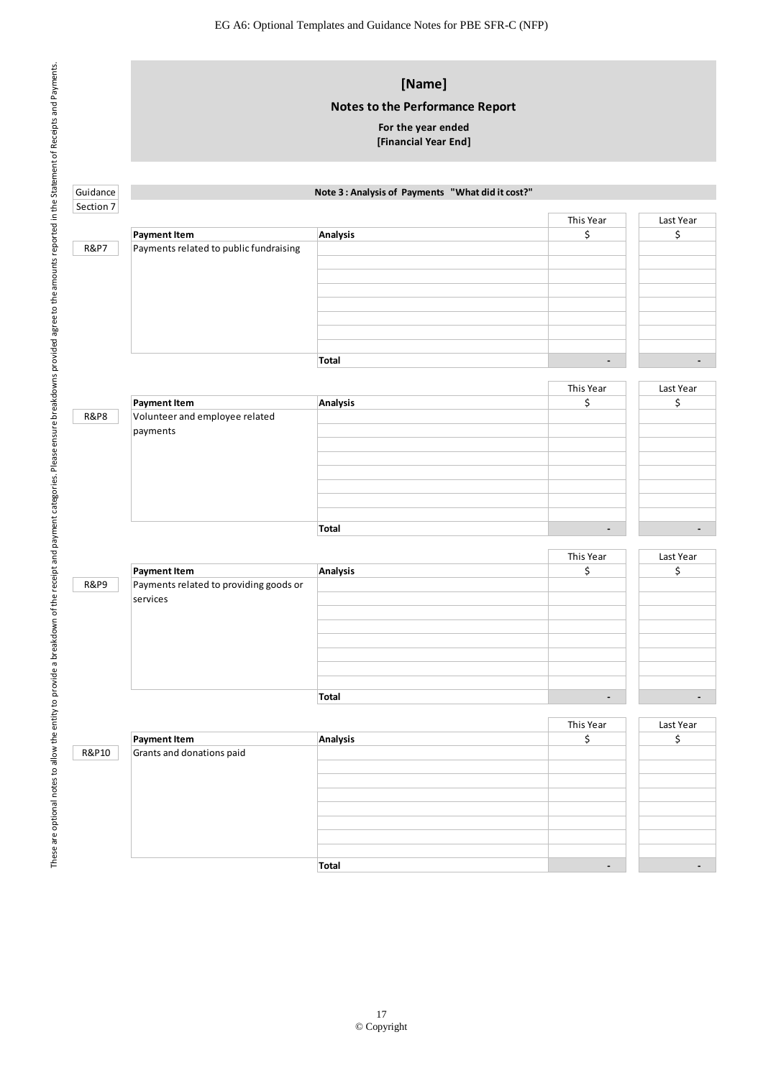|                 |                                                       | [Name]<br><b>Notes to the Performance Report</b><br>For the year ended<br>[Financial Year End] |                          |                          |
|-----------------|-------------------------------------------------------|------------------------------------------------------------------------------------------------|--------------------------|--------------------------|
| Guidance        |                                                       | Note 3 : Analysis of Payments "What did it cost?"                                              |                          |                          |
| Section 7       |                                                       |                                                                                                |                          |                          |
|                 | <b>Payment Item</b>                                   | Analysis                                                                                       | This Year<br>\$          | Last Year<br>\$          |
| <b>R&amp;P7</b> | Payments related to public fundraising                |                                                                                                |                          |                          |
|                 |                                                       | Total                                                                                          | $\overline{\phantom{a}}$ | $\overline{\phantom{a}}$ |
|                 |                                                       |                                                                                                | This Year                | Last Year                |
| <b>R&amp;P8</b> | <b>Payment Item</b><br>Volunteer and employee related | Analysis                                                                                       | \$                       | \$                       |
|                 | payments                                              |                                                                                                |                          |                          |
|                 |                                                       | Total                                                                                          | $\overline{\phantom{a}}$ | $\overline{\phantom{a}}$ |
|                 |                                                       |                                                                                                | This Year                | Last Year                |
|                 | <b>Payment Item</b>                                   | Analysis                                                                                       | \$                       | \$                       |
| <b>R&amp;P9</b> | Payments related to providing goods or<br>services    |                                                                                                |                          |                          |
|                 |                                                       | Total                                                                                          | $\blacksquare$           | $\overline{\phantom{a}}$ |
|                 |                                                       |                                                                                                |                          |                          |
|                 | <b>Payment Item</b>                                   | Analysis                                                                                       | This Year<br>\$          | Last Year<br>\$          |
| R&P10           | Grants and donations paid                             |                                                                                                |                          |                          |
|                 |                                                       |                                                                                                |                          |                          |
|                 |                                                       |                                                                                                |                          |                          |
|                 |                                                       |                                                                                                |                          |                          |
|                 |                                                       | <b>Total</b>                                                                                   | $\overline{\phantom{a}}$ | $\overline{\phantom{a}}$ |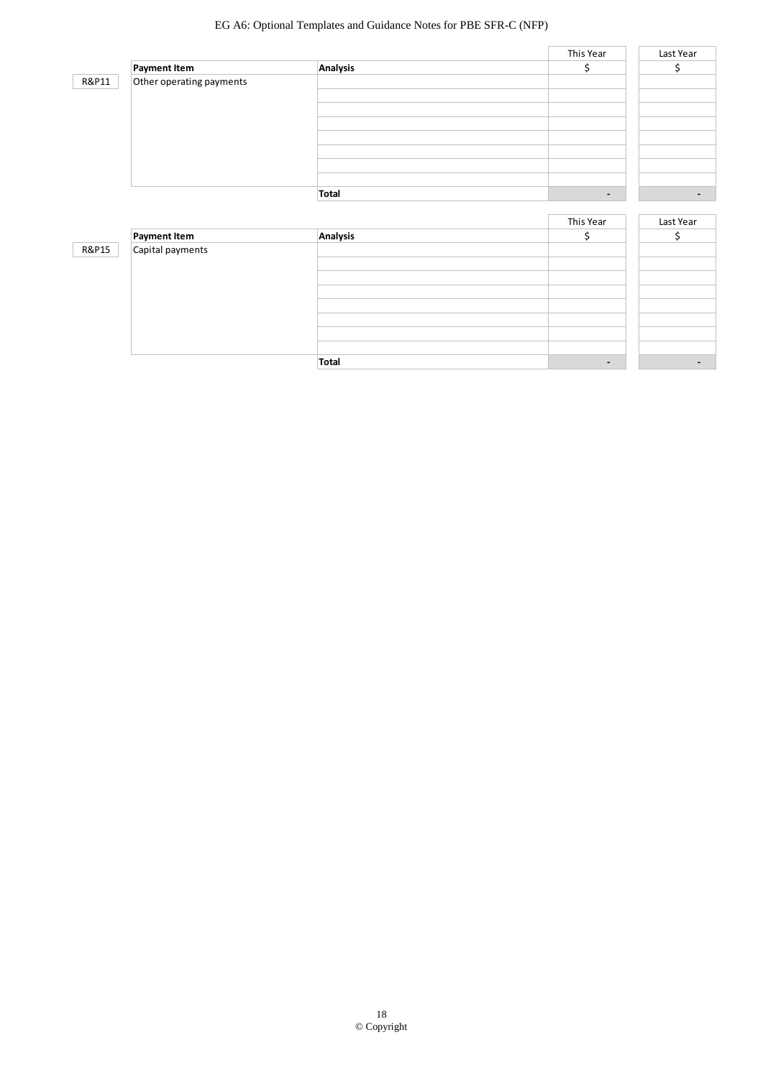### EG A6: Optional Templates and Guidance Notes for PBE SFR-C (NFP)

|                          |          | This Year | Last Year      |
|--------------------------|----------|-----------|----------------|
| Payment Item             | Analysis |           |                |
| Other operating payments |          |           |                |
|                          |          |           |                |
|                          |          |           |                |
|                          |          |           |                |
|                          |          |           |                |
|                          |          |           |                |
|                          |          |           |                |
|                          |          |           |                |
|                          | Total    | ٠         | $\blacksquare$ |
|                          |          |           |                |

|       |                     |              | This Year                | Last Year |
|-------|---------------------|--------------|--------------------------|-----------|
|       | <b>Payment Item</b> | Analysis     |                          |           |
| R&P15 | Capital payments    |              |                          |           |
|       |                     |              |                          |           |
|       |                     |              |                          |           |
|       |                     |              |                          |           |
|       |                     |              |                          |           |
|       |                     |              |                          |           |
|       |                     |              |                          |           |
|       |                     |              |                          |           |
|       |                     | <b>Total</b> | $\overline{\phantom{0}}$ |           |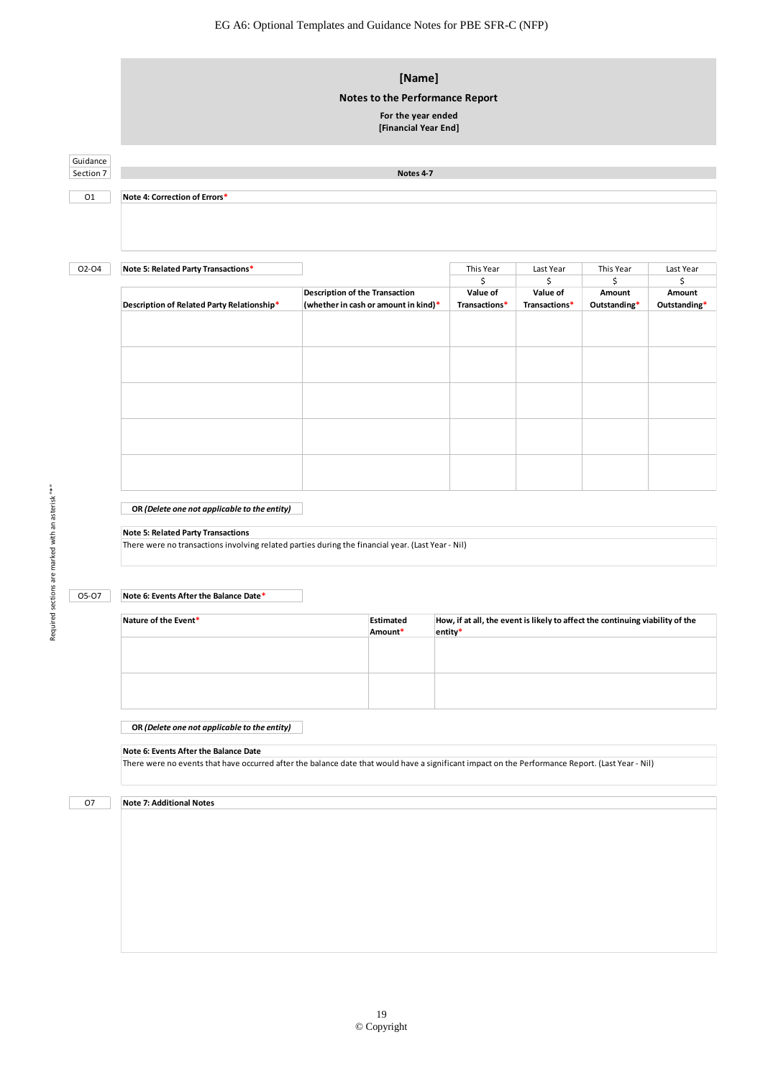# Guidance Section 7 O1 O2-O4 **Note 5: Related Party Transactions\*** This Year Last Year This Year Last Year  $\begin{array}{ccccccccccccccccc}\n\text{\large $\textsf{s}$} & & & \text{\large $\textsf{s}$} & & \text{\large $\textsf{s}$} & & \text{\large $\textsf{s}$} & \text{\large $\textsf{s}$} & \text{\large $\textsf{s}$} & \text{\large $\textsf{s}$} & \text{\large $\textsf{s}$} & \text{\large $\textsf{s}$} & \text{\large $\textsf{s}$} & \text{\large $\textsf{s}$} & \text{\large $\textsf{s}$} & \text{\large $\textsf{s}$} & \text{\large $\textsf{s}$} & \text{\large $\textsf{s}$} & \text{\large $\textsf{s}$} & \text{\large $\textsf{s}$} & \text{\large $\textsf{s}$} & \text{\large $\text$ **Description of Related Party Relationship\* Value of Transactions\* Value of Transactions\* Amount Outstanding\* Amount Outstanding\* OR** *(Delete one not applicable to the entity)* O5-O7 **Note 6: Events After the Balance Date\* Estimated Amount\* OR** *(Delete one not applicable to the entity)* There were no transactions<br>
There were no transactions involving related parties during the financial year. (Last Year - Nil)<br>
Rote 6: Events After the Balance Date \*<br>
Rature of the Event \* Balance Date \* Estimated Amount **Note 4: Correction of Errors\* [Name] Notes to the Performance Report For the year ended [Financial Year End] Notes 4-7 Note 6: Events After the Balance Date**<br>There were no events that have occurred after the balance date that would have a significant impact on the Performance Report. (Last Year - Nil) **Note 5: Related Party Transactions** Nature of the Event\* **How, if at all, the event is likely to affect the continuing viability of the 
<b>How, if at all, the event is likely to affect the continuing viability of the entity\* Description of the Transaction (whether in cash or amount in kind)\*** There were no transactions involving related parties during the financial year. (Last Year - Nil)

### O<sub>7</sub>

**Note 7: Additional Notes**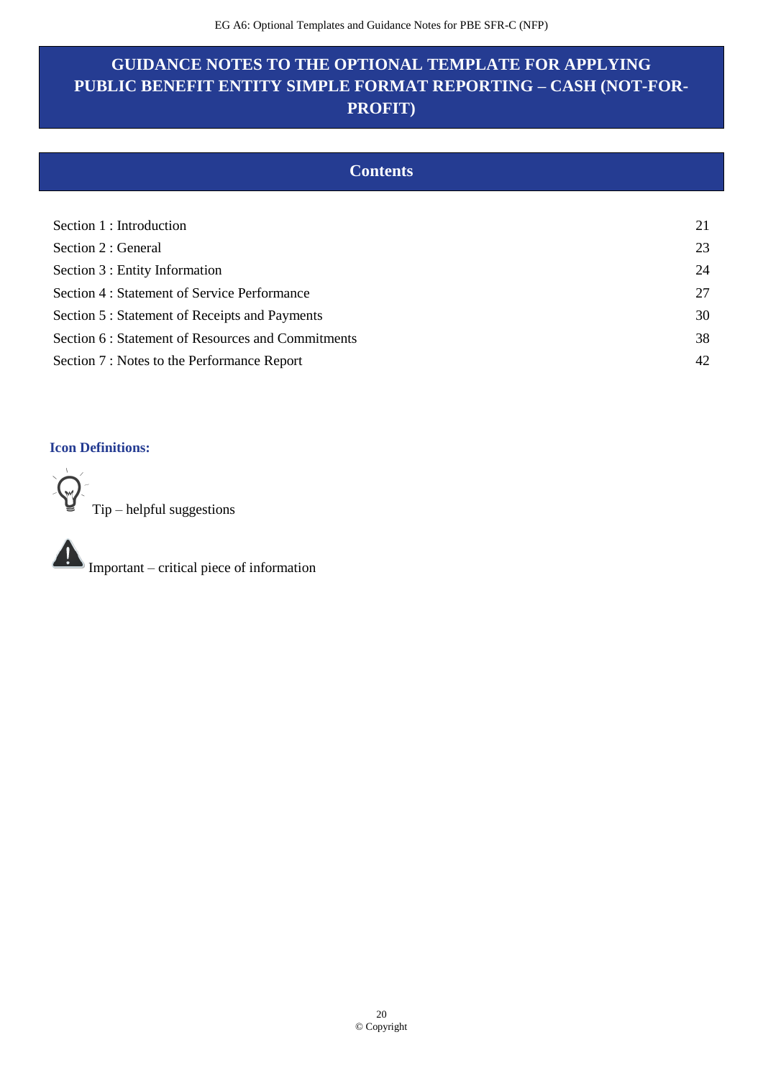# **GUIDANCE NOTES TO THE OPTIONAL TEMPLATE FOR APPLYING PUBLIC BENEFIT ENTITY SIMPLE FORMAT REPORTING – CASH (NOT-FOR-PROFIT)**

| <b>Contents</b> |  |
|-----------------|--|
|                 |  |

| Section 1 : Introduction                           | 21 |
|----------------------------------------------------|----|
| Section 2 : General                                | 23 |
| Section 3 : Entity Information                     | 24 |
| Section 4 : Statement of Service Performance       | 27 |
| Section 5 : Statement of Receipts and Payments     | 30 |
| Section 6 : Statement of Resources and Commitments | 38 |
| Section 7 : Notes to the Performance Report        | 42 |

### **Icon Definitions:**

Tip – helpful suggestions

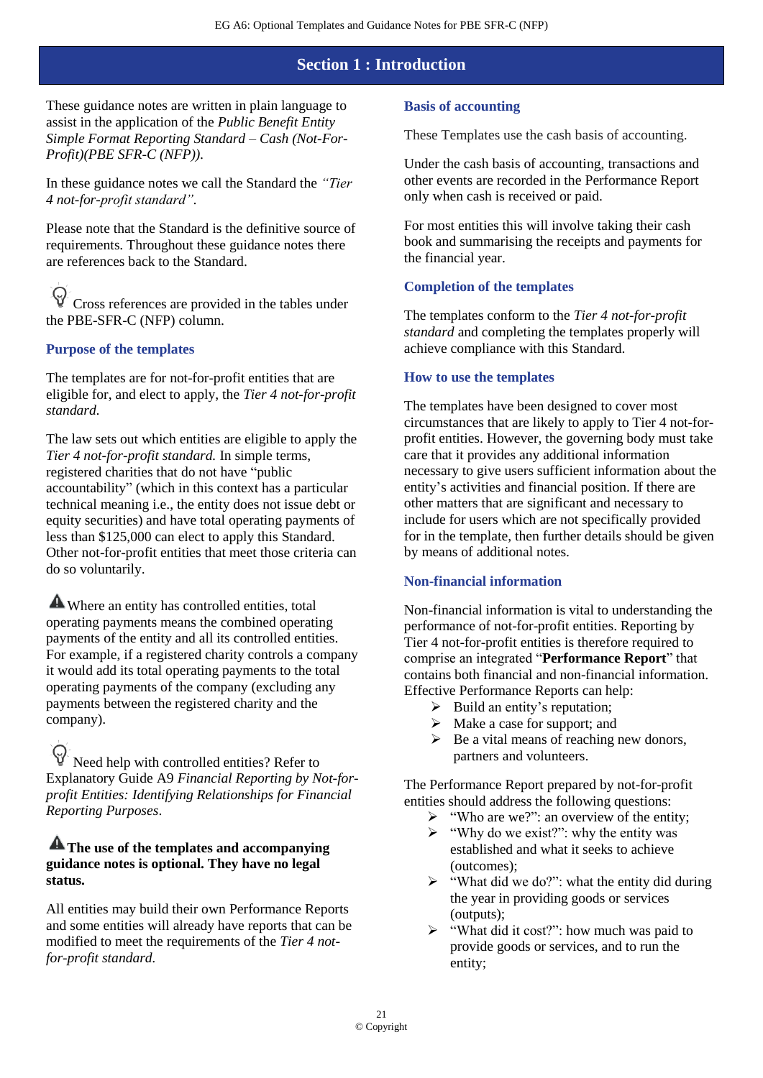### **Section 1 : Introduction**

These guidance notes are written in plain language to assist in the application of the *Public Benefit Entity Simple Format Reporting Standard – Cash (Not-For-Profit)(PBE SFR-C (NFP)).*

In these guidance notes we call the Standard the *"Tier 4 not-for-profit standard".*

Please note that the Standard is the definitive source of requirements. Throughout these guidance notes there are references back to the Standard.

Cross references are provided in the tables under the PBE-SFR-C (NFP) column.

### **Purpose of the templates**

The templates are for not-for-profit entities that are eligible for, and elect to apply, the *Tier 4 not-for-profit standard.*

The law sets out which entities are eligible to apply the *Tier 4 not-for-profit standard.* In simple terms, registered charities that do not have "public accountability" (which in this context has a particular technical meaning i.e., the entity does not issue debt or equity securities) and have total operating payments of less than \$125,000 can elect to apply this Standard. Other not-for-profit entities that meet those criteria can do so voluntarily.

Where an entity has controlled entities, total operating payments means the combined operating payments of the entity and all its controlled entities. For example, if a registered charity controls a company it would add its total operating payments to the total operating payments of the company (excluding any payments between the registered charity and the company).

Need help with controlled entities? Refer to Explanatory Guide A9 *Financial Reporting by Not-forprofit Entities: Identifying Relationships for Financial Reporting Purposes*.

### **A** The use of the templates and accompanying **guidance notes is optional. They have no legal status.**

All entities may build their own Performance Reports and some entities will already have reports that can be modified to meet the requirements of the *Tier 4 notfor-profit standard.*

### **Basis of accounting**

These Templates use the cash basis of accounting.

Under the cash basis of accounting, transactions and other events are recorded in the Performance Report only when cash is received or paid.

For most entities this will involve taking their cash book and summarising the receipts and payments for the financial year.

### **Completion of the templates**

The templates conform to the *Tier 4 not-for-profit standard* and completing the templates properly will achieve compliance with this Standard.

#### **How to use the templates**

The templates have been designed to cover most circumstances that are likely to apply to Tier 4 not-forprofit entities. However, the governing body must take care that it provides any additional information necessary to give users sufficient information about the entity's activities and financial position. If there are other matters that are significant and necessary to include for users which are not specifically provided for in the template, then further details should be given by means of additional notes.

### **Non-financial information**

Non-financial information is vital to understanding the performance of not-for-profit entities. Reporting by Tier 4 not-for-profit entities is therefore required to comprise an integrated "**Performance Report**" that contains both financial and non-financial information. Effective Performance Reports can help:

- $\triangleright$  Build an entity's reputation;
- $\triangleright$  Make a case for support; and
- $\triangleright$  Be a vital means of reaching new donors, partners and volunteers.

The Performance Report prepared by not-for-profit entities should address the following questions:

- ➢ "Who are we?": an overview of the entity;
- $\triangleright$  "Why do we exist?": why the entity was established and what it seeks to achieve (outcomes);
- $\triangleright$  "What did we do?": what the entity did during the year in providing goods or services (outputs);
- ➢ "What did it cost?": how much was paid to provide goods or services, and to run the entity;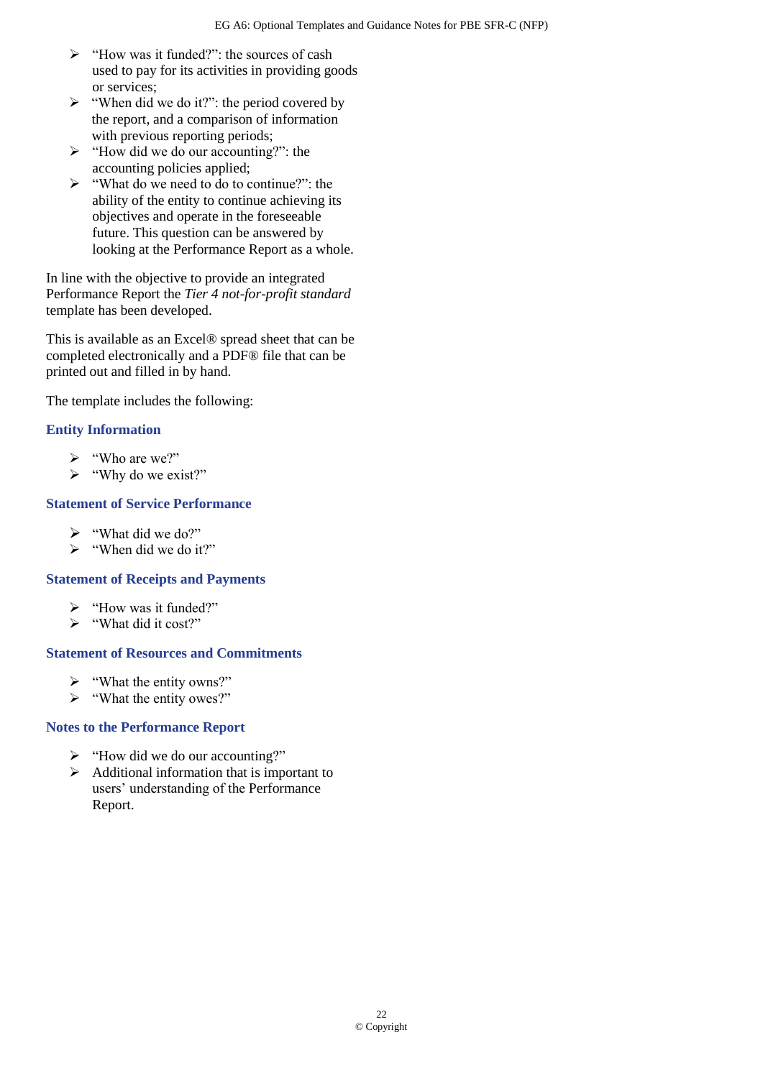- ➢ "How was it funded?": the sources of cash used to pay for its activities in providing goods or services;
- $\triangleright$  "When did we do it?": the period covered by the report, and a comparison of information with previous reporting periods;
- $\triangleright$  "How did we do our accounting?": the accounting policies applied;
- ➢ "What do we need to do to continue?": the ability of the entity to continue achieving its objectives and operate in the foreseeable future. This question can be answered by looking at the Performance Report as a whole.

In line with the objective to provide an integrated Performance Report the *Tier 4 not-for-profit standard* template has been developed.

This is available as an Excel® spread sheet that can be completed electronically and a PDF® file that can be printed out and filled in by hand.

The template includes the following:

### **Entity Information**

- ➢ "Who are we?"
- ➢ "Why do we exist?"

### **Statement of Service Performance**

- ➢ "What did we do?"
- ➢ "When did we do it?"

### **Statement of Receipts and Payments**

- ➢ "How was it funded?"
- ➢ "What did it cost?"

### **Statement of Resources and Commitments**

- ➢ "What the entity owns?"
- ➢ "What the entity owes?"

### **Notes to the Performance Report**

- ➢ "How did we do our accounting?"
- ➢ Additional information that is important to users' understanding of the Performance Report.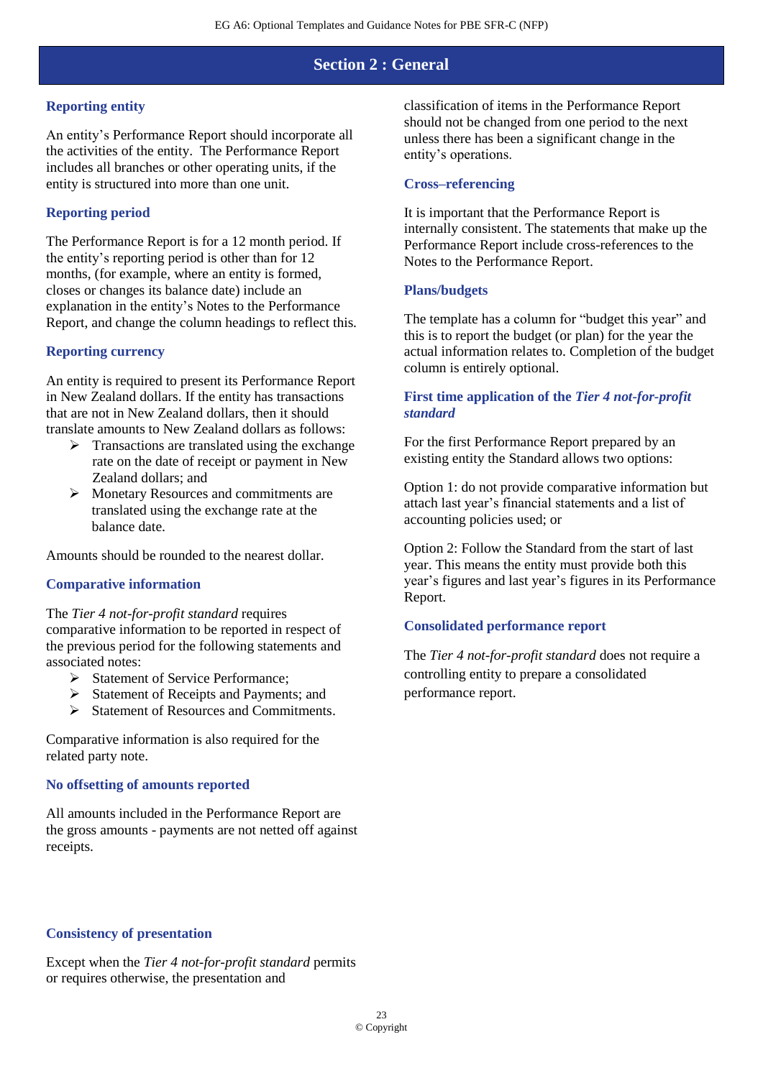### **Section 2 : General**

### **Reporting entity**

An entity's Performance Report should incorporate all the activities of the entity. The Performance Report includes all branches or other operating units, if the entity is structured into more than one unit.

### **Reporting period**

The Performance Report is for a 12 month period. If the entity's reporting period is other than for 12 months, (for example, where an entity is formed, closes or changes its balance date) include an explanation in the entity's Notes to the Performance Report, and change the column headings to reflect this.

#### **Reporting currency**

An entity is required to present its Performance Report in New Zealand dollars. If the entity has transactions that are not in New Zealand dollars, then it should translate amounts to New Zealand dollars as follows:

- $\triangleright$  Transactions are translated using the exchange rate on the date of receipt or payment in New Zealand dollars; and
- ➢ Monetary Resources and commitments are translated using the exchange rate at the balance date.

Amounts should be rounded to the nearest dollar.

### **Comparative information**

#### The *Tier 4 not-for-profit standard* requires comparative information to be reported in respect of the previous period for the following statements and associated notes:

- ➢ Statement of Service Performance;
- ➢ Statement of Receipts and Payments; and
- $\triangleright$  Statement of Resources and Commitments.

Comparative information is also required for the related party note.

#### **No offsetting of amounts reported**

All amounts included in the Performance Report are the gross amounts - payments are not netted off against receipts.

classification of items in the Performance Report should not be changed from one period to the next unless there has been a significant change in the entity's operations.

#### **Cross–referencing**

It is important that the Performance Report is internally consistent. The statements that make up the Performance Report include cross-references to the Notes to the Performance Report.

#### **Plans/budgets**

The template has a column for "budget this year" and this is to report the budget (or plan) for the year the actual information relates to. Completion of the budget column is entirely optional.

### **First time application of the** *Tier 4 not-for-profit standard*

For the first Performance Report prepared by an existing entity the Standard allows two options:

Option 1: do not provide comparative information but attach last year's financial statements and a list of accounting policies used; or

Option 2: Follow the Standard from the start of last year. This means the entity must provide both this year's figures and last year's figures in its Performance Report.

### **Consolidated performance report**

The *Tier 4 not-for-profit standard* does not require a controlling entity to prepare a consolidated performance report.

#### **Consistency of presentation**

Except when the *Tier 4 not-for-profit standard* permits or requires otherwise, the presentation and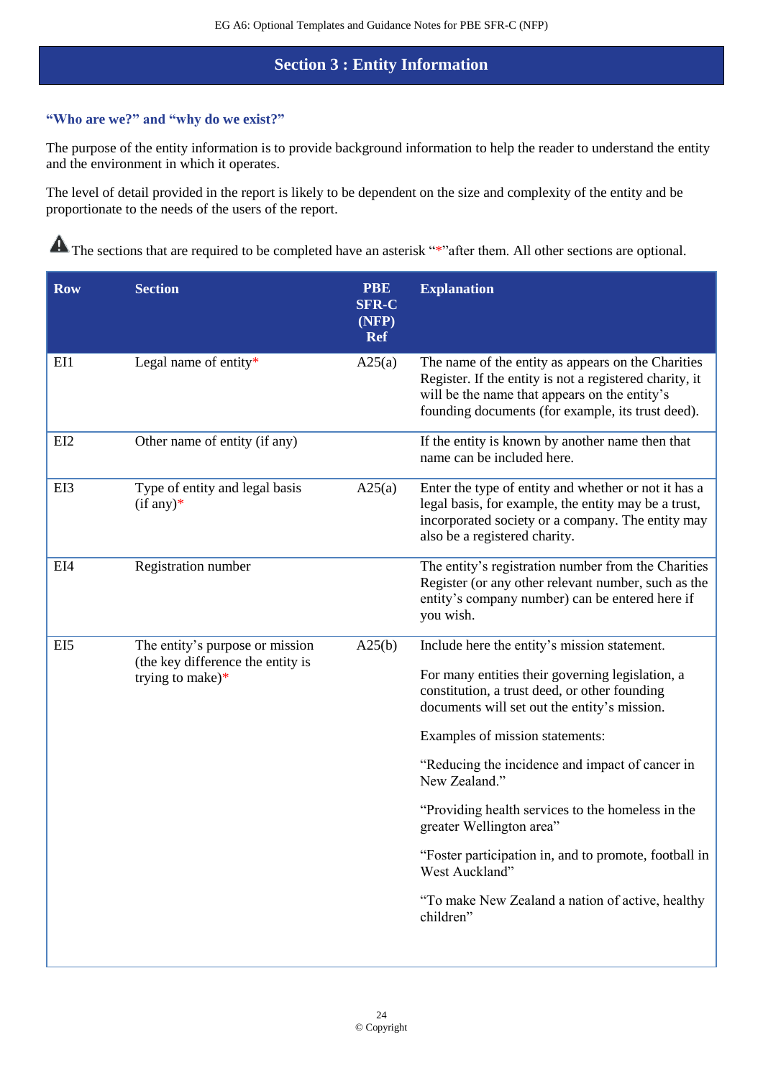### **Section 3 : Entity Information**

### **"Who are we?" and "why do we exist?"**

The purpose of the entity information is to provide background information to help the reader to understand the entity and the environment in which it operates.

The level of detail provided in the report is likely to be dependent on the size and complexity of the entity and be proportionate to the needs of the users of the report.

| <b>Row</b>      | <b>Section</b>                                                                              | <b>PBE</b><br><b>SFR-C</b><br>(NFP)<br><b>Ref</b> | <b>Explanation</b>                                                                                                                                                                                                                                                                                                                                                                                                                                                                                                                    |
|-----------------|---------------------------------------------------------------------------------------------|---------------------------------------------------|---------------------------------------------------------------------------------------------------------------------------------------------------------------------------------------------------------------------------------------------------------------------------------------------------------------------------------------------------------------------------------------------------------------------------------------------------------------------------------------------------------------------------------------|
| EI1             | Legal name of entity*                                                                       | A25(a)                                            | The name of the entity as appears on the Charities<br>Register. If the entity is not a registered charity, it<br>will be the name that appears on the entity's<br>founding documents (for example, its trust deed).                                                                                                                                                                                                                                                                                                                   |
| EI <sub>2</sub> | Other name of entity (if any)                                                               |                                                   | If the entity is known by another name then that<br>name can be included here.                                                                                                                                                                                                                                                                                                                                                                                                                                                        |
| EI3             | Type of entity and legal basis<br>$(if any)*$                                               | A25(a)                                            | Enter the type of entity and whether or not it has a<br>legal basis, for example, the entity may be a trust,<br>incorporated society or a company. The entity may<br>also be a registered charity.                                                                                                                                                                                                                                                                                                                                    |
| EI4             | Registration number                                                                         |                                                   | The entity's registration number from the Charities<br>Register (or any other relevant number, such as the<br>entity's company number) can be entered here if<br>you wish.                                                                                                                                                                                                                                                                                                                                                            |
| EI5             | The entity's purpose or mission<br>(the key difference the entity is<br>trying to make) $*$ | A25(b)                                            | Include here the entity's mission statement.<br>For many entities their governing legislation, a<br>constitution, a trust deed, or other founding<br>documents will set out the entity's mission.<br>Examples of mission statements:<br>"Reducing the incidence and impact of cancer in<br>New Zealand."<br>"Providing health services to the homeless in the<br>greater Wellington area"<br>"Foster participation in, and to promote, football in<br>West Auckland"<br>"To make New Zealand a nation of active, healthy<br>children" |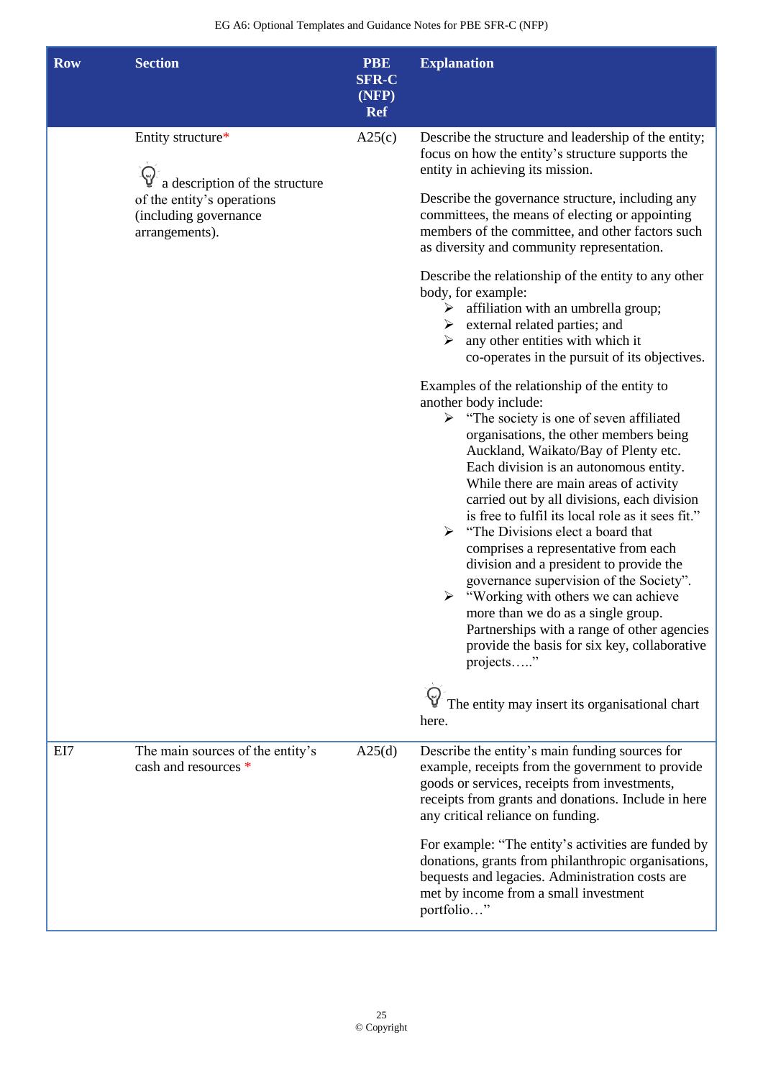| <b>Row</b> | <b>Section</b>                                                        | <b>PBE</b><br><b>SFR-C</b><br>(NFP)<br><b>Ref</b> | <b>Explanation</b>                                                                                                                                                                                                                                                                                                                                                                                                                                                                                                                                                                                                                                                                                                                                                                                                                                   |
|------------|-----------------------------------------------------------------------|---------------------------------------------------|------------------------------------------------------------------------------------------------------------------------------------------------------------------------------------------------------------------------------------------------------------------------------------------------------------------------------------------------------------------------------------------------------------------------------------------------------------------------------------------------------------------------------------------------------------------------------------------------------------------------------------------------------------------------------------------------------------------------------------------------------------------------------------------------------------------------------------------------------|
|            | Entity structure*<br>a description of the structure                   | A25(c)                                            | Describe the structure and leadership of the entity;<br>focus on how the entity's structure supports the<br>entity in achieving its mission.                                                                                                                                                                                                                                                                                                                                                                                                                                                                                                                                                                                                                                                                                                         |
|            | of the entity's operations<br>(including governance<br>arrangements). |                                                   | Describe the governance structure, including any<br>committees, the means of electing or appointing<br>members of the committee, and other factors such<br>as diversity and community representation.                                                                                                                                                                                                                                                                                                                                                                                                                                                                                                                                                                                                                                                |
|            |                                                                       |                                                   | Describe the relationship of the entity to any other<br>body, for example:<br>affiliation with an umbrella group;<br>➤<br>external related parties; and<br>any other entities with which it<br>⋗<br>co-operates in the pursuit of its objectives.                                                                                                                                                                                                                                                                                                                                                                                                                                                                                                                                                                                                    |
|            |                                                                       |                                                   | Examples of the relationship of the entity to<br>another body include:<br>$\triangleright$ "The society is one of seven affiliated<br>organisations, the other members being<br>Auckland, Waikato/Bay of Plenty etc.<br>Each division is an autonomous entity.<br>While there are main areas of activity<br>carried out by all divisions, each division<br>is free to fulfil its local role as it sees fit."<br>$\triangleright$ "The Divisions elect a board that<br>comprises a representative from each<br>division and a president to provide the<br>governance supervision of the Society".<br>"Working with others we can achieve<br>more than we do as a single group.<br>Partnerships with a range of other agencies<br>provide the basis for six key, collaborative<br>projects"<br>The entity may insert its organisational chart<br>here. |
| EI7        | The main sources of the entity's<br>cash and resources *              | A25(d)                                            | Describe the entity's main funding sources for<br>example, receipts from the government to provide<br>goods or services, receipts from investments,<br>receipts from grants and donations. Include in here<br>any critical reliance on funding.                                                                                                                                                                                                                                                                                                                                                                                                                                                                                                                                                                                                      |
|            |                                                                       |                                                   | For example: "The entity's activities are funded by<br>donations, grants from philanthropic organisations,<br>bequests and legacies. Administration costs are<br>met by income from a small investment<br>portfolio"                                                                                                                                                                                                                                                                                                                                                                                                                                                                                                                                                                                                                                 |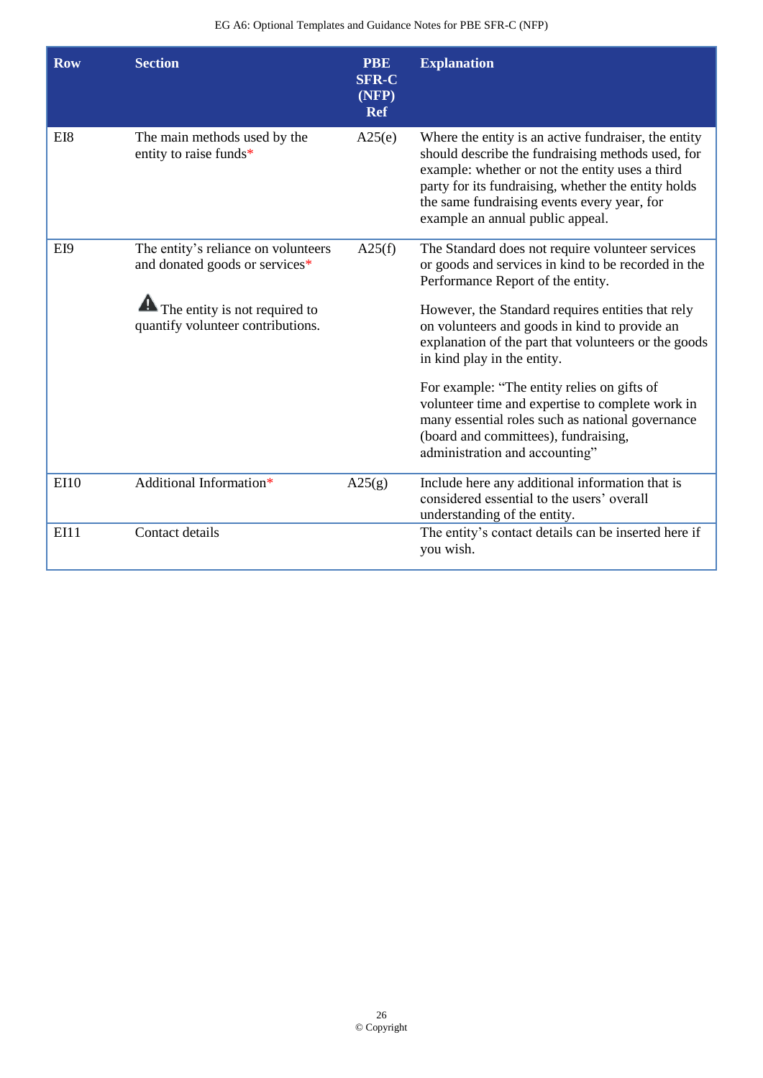| <b>Row</b>  | <b>Section</b>                                                                    | <b>PBE</b><br><b>SFR-C</b><br>(NFP)<br><b>Ref</b> | <b>Explanation</b>                                                                                                                                                                                                                                                                                     |
|-------------|-----------------------------------------------------------------------------------|---------------------------------------------------|--------------------------------------------------------------------------------------------------------------------------------------------------------------------------------------------------------------------------------------------------------------------------------------------------------|
| EI8         | The main methods used by the<br>entity to raise funds*                            | A25(e)                                            | Where the entity is an active fundraiser, the entity<br>should describe the fundraising methods used, for<br>example: whether or not the entity uses a third<br>party for its fundraising, whether the entity holds<br>the same fundraising events every year, for<br>example an annual public appeal. |
| EI9         | The entity's reliance on volunteers<br>and donated goods or services*             | A25(f)                                            | The Standard does not require volunteer services<br>or goods and services in kind to be recorded in the<br>Performance Report of the entity.                                                                                                                                                           |
|             | $\blacksquare$ The entity is not required to<br>quantify volunteer contributions. |                                                   | However, the Standard requires entities that rely<br>on volunteers and goods in kind to provide an<br>explanation of the part that volunteers or the goods<br>in kind play in the entity.                                                                                                              |
|             |                                                                                   |                                                   | For example: "The entity relies on gifts of<br>volunteer time and expertise to complete work in<br>many essential roles such as national governance<br>(board and committees), fundraising,<br>administration and accounting"                                                                          |
| <b>EI10</b> | Additional Information*                                                           | A25(g)                                            | Include here any additional information that is<br>considered essential to the users' overall<br>understanding of the entity.                                                                                                                                                                          |
| <b>EI11</b> | Contact details                                                                   |                                                   | The entity's contact details can be inserted here if<br>you wish.                                                                                                                                                                                                                                      |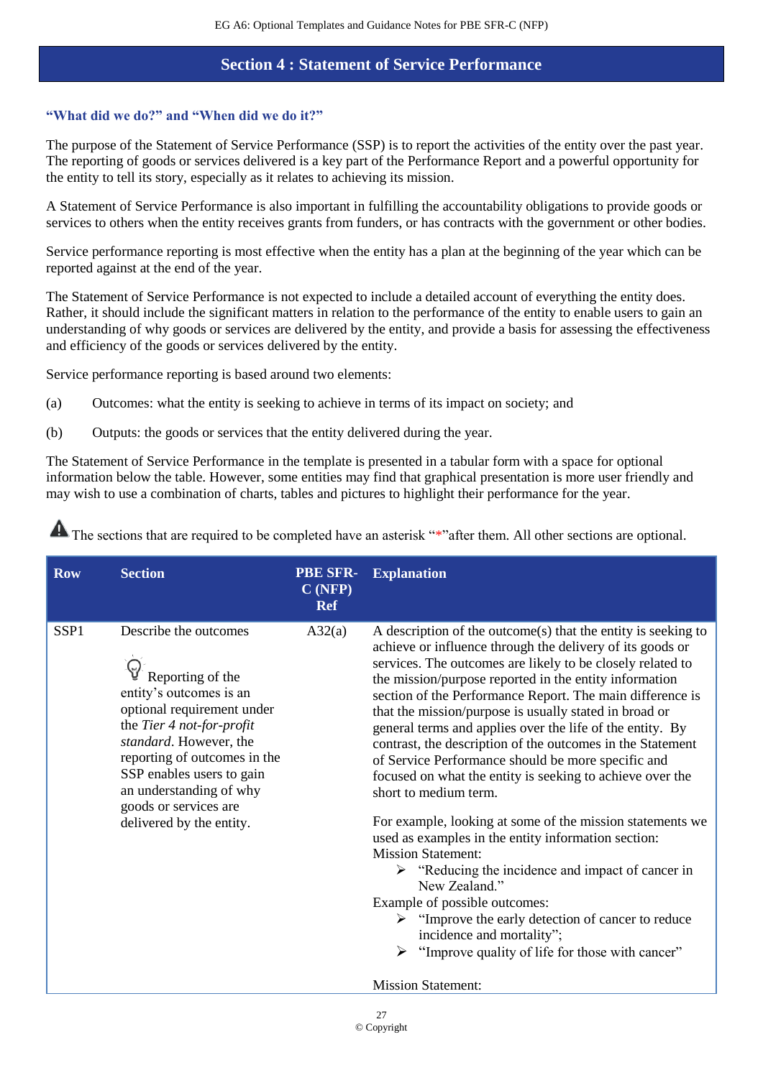### **Section 4 : Statement of Service Performance**

### **"What did we do?" and "When did we do it?"**

The purpose of the Statement of Service Performance (SSP) is to report the activities of the entity over the past year. The reporting of goods or services delivered is a key part of the Performance Report and a powerful opportunity for the entity to tell its story, especially as it relates to achieving its mission.

A Statement of Service Performance is also important in fulfilling the accountability obligations to provide goods or services to others when the entity receives grants from funders, or has contracts with the government or other bodies.

Service performance reporting is most effective when the entity has a plan at the beginning of the year which can be reported against at the end of the year.

The Statement of Service Performance is not expected to include a detailed account of everything the entity does. Rather, it should include the significant matters in relation to the performance of the entity to enable users to gain an understanding of why goods or services are delivered by the entity, and provide a basis for assessing the effectiveness and efficiency of the goods or services delivered by the entity.

Service performance reporting is based around two elements:

- (a) Outcomes: what the entity is seeking to achieve in terms of its impact on society; and
- (b) Outputs: the goods or services that the entity delivered during the year.

The Statement of Service Performance in the template is presented in a tabular form with a space for optional information below the table. However, some entities may find that graphical presentation is more user friendly and may wish to use a combination of charts, tables and pictures to highlight their performance for the year.

| <b>Row</b>       | <b>Section</b>                                                                                                                                                                                                                                                                                         | <b>PBE SFR-</b><br>C(NFP)<br>Ref | <b>Explanation</b>                                                                                                                                                                                                                                                                                                                                                                                                                                                                                                                                                                                                                                                                                                                                                                                                                                                                                                                                                                                                                                                                                        |
|------------------|--------------------------------------------------------------------------------------------------------------------------------------------------------------------------------------------------------------------------------------------------------------------------------------------------------|----------------------------------|-----------------------------------------------------------------------------------------------------------------------------------------------------------------------------------------------------------------------------------------------------------------------------------------------------------------------------------------------------------------------------------------------------------------------------------------------------------------------------------------------------------------------------------------------------------------------------------------------------------------------------------------------------------------------------------------------------------------------------------------------------------------------------------------------------------------------------------------------------------------------------------------------------------------------------------------------------------------------------------------------------------------------------------------------------------------------------------------------------------|
| SSP <sub>1</sub> | Describe the outcomes<br>Reporting of the<br>entity's outcomes is an<br>optional requirement under<br>the Tier 4 not-for-profit<br>standard. However, the<br>reporting of outcomes in the<br>SSP enables users to gain<br>an understanding of why<br>goods or services are<br>delivered by the entity. | A32(a)                           | A description of the outcome(s) that the entity is seeking to<br>achieve or influence through the delivery of its goods or<br>services. The outcomes are likely to be closely related to<br>the mission/purpose reported in the entity information<br>section of the Performance Report. The main difference is<br>that the mission/purpose is usually stated in broad or<br>general terms and applies over the life of the entity. By<br>contrast, the description of the outcomes in the Statement<br>of Service Performance should be more specific and<br>focused on what the entity is seeking to achieve over the<br>short to medium term.<br>For example, looking at some of the mission statements we<br>used as examples in the entity information section:<br><b>Mission Statement:</b><br>$\triangleright$ "Reducing the incidence and impact of cancer in<br>New Zealand."<br>Example of possible outcomes:<br>$\triangleright$ "Improve the early detection of cancer to reduce<br>incidence and mortality";<br>"Improve quality of life for those with cancer"<br><b>Mission Statement:</b> |
|                  |                                                                                                                                                                                                                                                                                                        |                                  |                                                                                                                                                                                                                                                                                                                                                                                                                                                                                                                                                                                                                                                                                                                                                                                                                                                                                                                                                                                                                                                                                                           |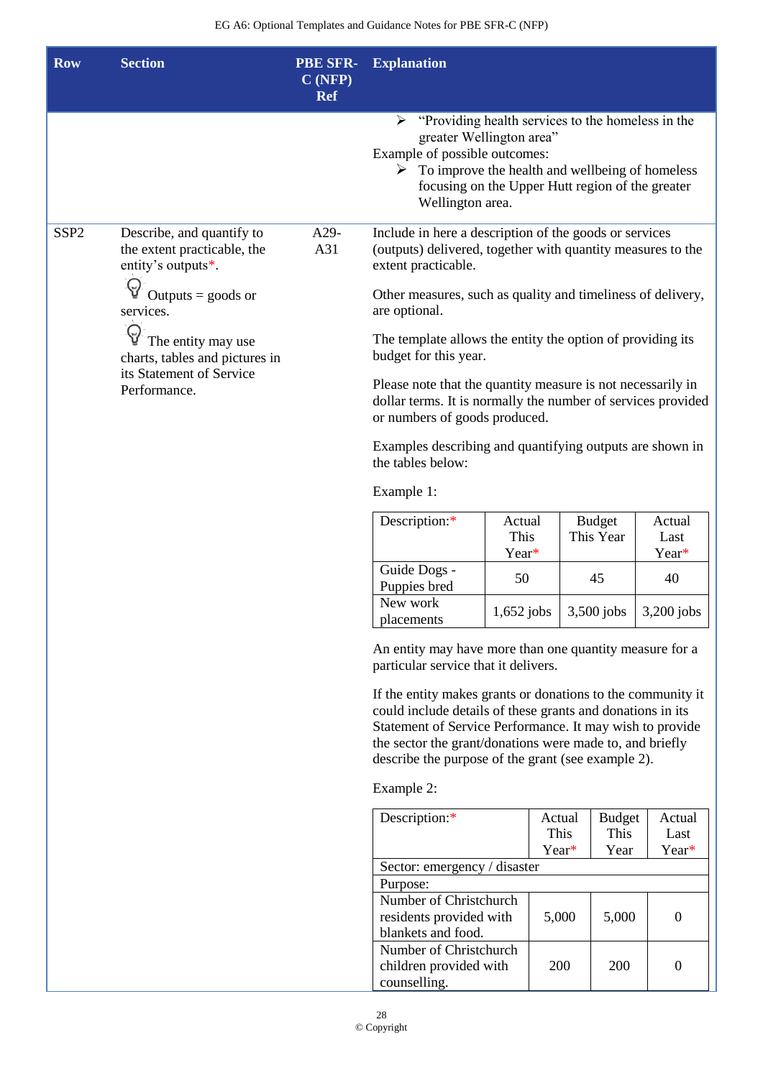| <b>Row</b>                                                                                       | <b>Section</b>                                                                 | <b>PBE SFR-</b><br>C(NFP)<br><b>Ref</b>                                                                                                                      | <b>Explanation</b>                                                                                                                                                                                                                                                                                      |                         |        |               |                               |                         |
|--------------------------------------------------------------------------------------------------|--------------------------------------------------------------------------------|--------------------------------------------------------------------------------------------------------------------------------------------------------------|---------------------------------------------------------------------------------------------------------------------------------------------------------------------------------------------------------------------------------------------------------------------------------------------------------|-------------------------|--------|---------------|-------------------------------|-------------------------|
|                                                                                                  |                                                                                |                                                                                                                                                              | "Providing health services to the homeless in the<br>➤<br>greater Wellington area"<br>Example of possible outcomes:<br>$\triangleright$ To improve the health and wellbeing of homeless<br>focusing on the Upper Hutt region of the greater<br>Wellington area.                                         |                         |        |               |                               |                         |
| SSP <sub>2</sub>                                                                                 | Describe, and quantify to<br>the extent practicable, the<br>entity's outputs*. | A29-<br>A31                                                                                                                                                  | Include in here a description of the goods or services<br>(outputs) delivered, together with quantity measures to the<br>extent practicable.                                                                                                                                                            |                         |        |               |                               |                         |
|                                                                                                  | Outputs $=$ goods or<br>services.                                              |                                                                                                                                                              | Other measures, such as quality and timeliness of delivery,<br>are optional.                                                                                                                                                                                                                            |                         |        |               |                               |                         |
| The entity may use<br>charts, tables and pictures in<br>its Statement of Service<br>Performance. |                                                                                | The template allows the entity the option of providing its<br>budget for this year.                                                                          |                                                                                                                                                                                                                                                                                                         |                         |        |               |                               |                         |
|                                                                                                  |                                                                                | Please note that the quantity measure is not necessarily in<br>dollar terms. It is normally the number of services provided<br>or numbers of goods produced. |                                                                                                                                                                                                                                                                                                         |                         |        |               |                               |                         |
|                                                                                                  |                                                                                |                                                                                                                                                              | Examples describing and quantifying outputs are shown in<br>the tables below:                                                                                                                                                                                                                           |                         |        |               |                               |                         |
|                                                                                                  |                                                                                |                                                                                                                                                              | Example 1:                                                                                                                                                                                                                                                                                              |                         |        |               |                               |                         |
|                                                                                                  |                                                                                |                                                                                                                                                              | Description:*                                                                                                                                                                                                                                                                                           | Actual<br>This<br>Year* |        |               | <b>Budget</b><br>This Year    | Actual<br>Last<br>Year* |
|                                                                                                  |                                                                                |                                                                                                                                                              | Guide Dogs -<br>Puppies bred                                                                                                                                                                                                                                                                            | 50                      |        |               | 45                            | 40                      |
|                                                                                                  |                                                                                |                                                                                                                                                              | New work<br>placements                                                                                                                                                                                                                                                                                  | $1,\!652$ jobs          |        |               | 3,500 jobs                    | 3,200 jobs              |
|                                                                                                  |                                                                                |                                                                                                                                                              | An entity may have more than one quantity measure for a<br>particular service that it delivers.                                                                                                                                                                                                         |                         |        |               |                               |                         |
|                                                                                                  |                                                                                |                                                                                                                                                              | If the entity makes grants or donations to the community it<br>could include details of these grants and donations in its<br>Statement of Service Performance. It may wish to provide<br>the sector the grant/donations were made to, and briefly<br>describe the purpose of the grant (see example 2). |                         |        |               |                               |                         |
|                                                                                                  |                                                                                |                                                                                                                                                              | Example 2:                                                                                                                                                                                                                                                                                              |                         |        |               |                               |                         |
|                                                                                                  |                                                                                |                                                                                                                                                              | Description:*                                                                                                                                                                                                                                                                                           |                         | Actual | This<br>Year* | <b>Budget</b><br>This<br>Year | Actual<br>Last<br>Year* |
|                                                                                                  |                                                                                |                                                                                                                                                              | Sector: emergency / disaster                                                                                                                                                                                                                                                                            |                         |        |               |                               |                         |
|                                                                                                  |                                                                                |                                                                                                                                                              | Purpose:<br>Number of Christchurch<br>residents provided with<br>blankets and food.                                                                                                                                                                                                                     |                         |        | 5,000         | 5,000                         | $\overline{0}$          |
|                                                                                                  |                                                                                |                                                                                                                                                              | Number of Christchurch<br>children provided with<br>counselling.                                                                                                                                                                                                                                        |                         |        | 200           | 200                           | $\mathbf{0}$            |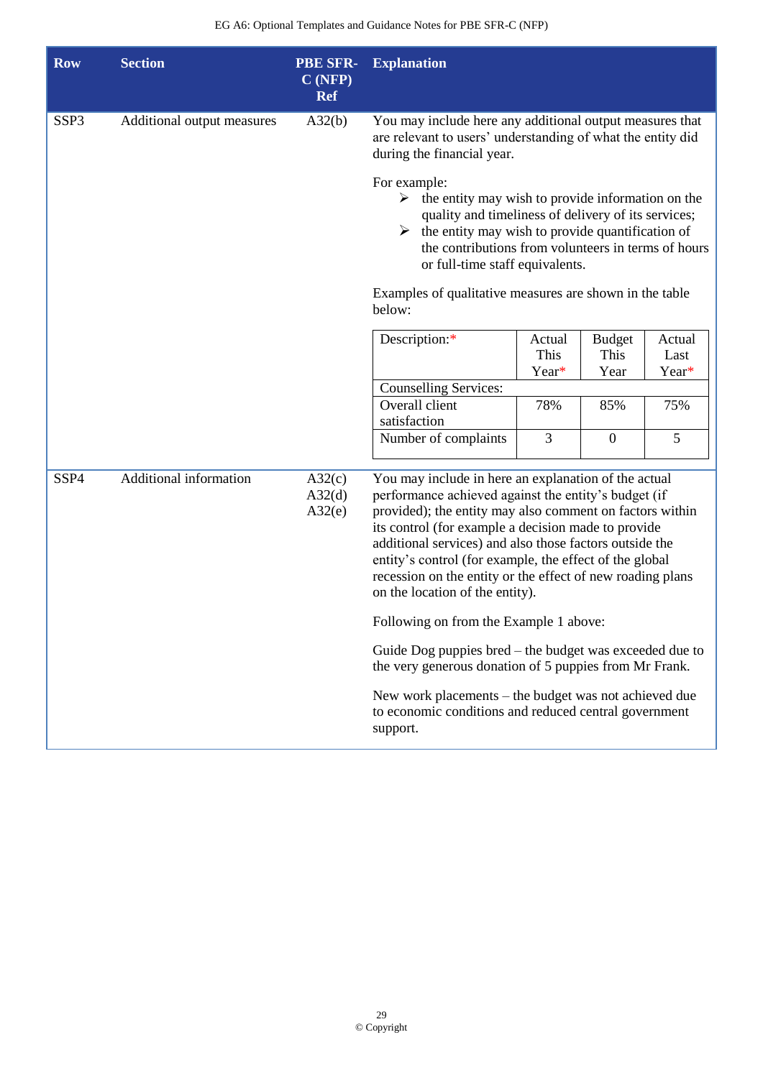| <b>Row</b>       | <b>Section</b>             | <b>PBE SFR-</b><br>C(NFP)<br><b>Ref</b> | <b>Explanation</b>                                                                                                                                                                                                                                                                                                                                                                                                                                     |                         |                               |                         |
|------------------|----------------------------|-----------------------------------------|--------------------------------------------------------------------------------------------------------------------------------------------------------------------------------------------------------------------------------------------------------------------------------------------------------------------------------------------------------------------------------------------------------------------------------------------------------|-------------------------|-------------------------------|-------------------------|
| SSP <sub>3</sub> | Additional output measures | A32(b)                                  | You may include here any additional output measures that<br>are relevant to users' understanding of what the entity did<br>during the financial year.                                                                                                                                                                                                                                                                                                  |                         |                               |                         |
|                  |                            |                                         | For example:<br>$\triangleright$ the entity may wish to provide information on the<br>quality and timeliness of delivery of its services;<br>$\triangleright$ the entity may wish to provide quantification of<br>the contributions from volunteers in terms of hours<br>or full-time staff equivalents.                                                                                                                                               |                         |                               |                         |
|                  |                            |                                         | Examples of qualitative measures are shown in the table<br>below:                                                                                                                                                                                                                                                                                                                                                                                      |                         |                               |                         |
|                  |                            |                                         | Description:*                                                                                                                                                                                                                                                                                                                                                                                                                                          | Actual<br>This<br>Year* | <b>Budget</b><br>This<br>Year | Actual<br>Last<br>Year* |
|                  |                            |                                         | <b>Counselling Services:</b>                                                                                                                                                                                                                                                                                                                                                                                                                           |                         |                               |                         |
|                  |                            |                                         | Overall client<br>satisfaction                                                                                                                                                                                                                                                                                                                                                                                                                         | 78%                     | 85%                           | 75%                     |
|                  |                            |                                         | Number of complaints                                                                                                                                                                                                                                                                                                                                                                                                                                   | 3                       | $\overline{0}$                | 5                       |
| SSP4             | Additional information     | A32(c)<br>A32(d)<br>A32(e)              | You may include in here an explanation of the actual<br>performance achieved against the entity's budget (if<br>provided); the entity may also comment on factors within<br>its control (for example a decision made to provide<br>additional services) and also those factors outside the<br>entity's control (for example, the effect of the global<br>recession on the entity or the effect of new roading plans<br>on the location of the entity). |                         |                               |                         |
|                  |                            |                                         | Following on from the Example 1 above:                                                                                                                                                                                                                                                                                                                                                                                                                 |                         |                               |                         |
|                  |                            |                                         | Guide Dog puppies bred – the budget was exceeded due to<br>the very generous donation of 5 puppies from Mr Frank.                                                                                                                                                                                                                                                                                                                                      |                         |                               |                         |
|                  |                            |                                         | New work placements – the budget was not achieved due<br>to economic conditions and reduced central government<br>support.                                                                                                                                                                                                                                                                                                                             |                         |                               |                         |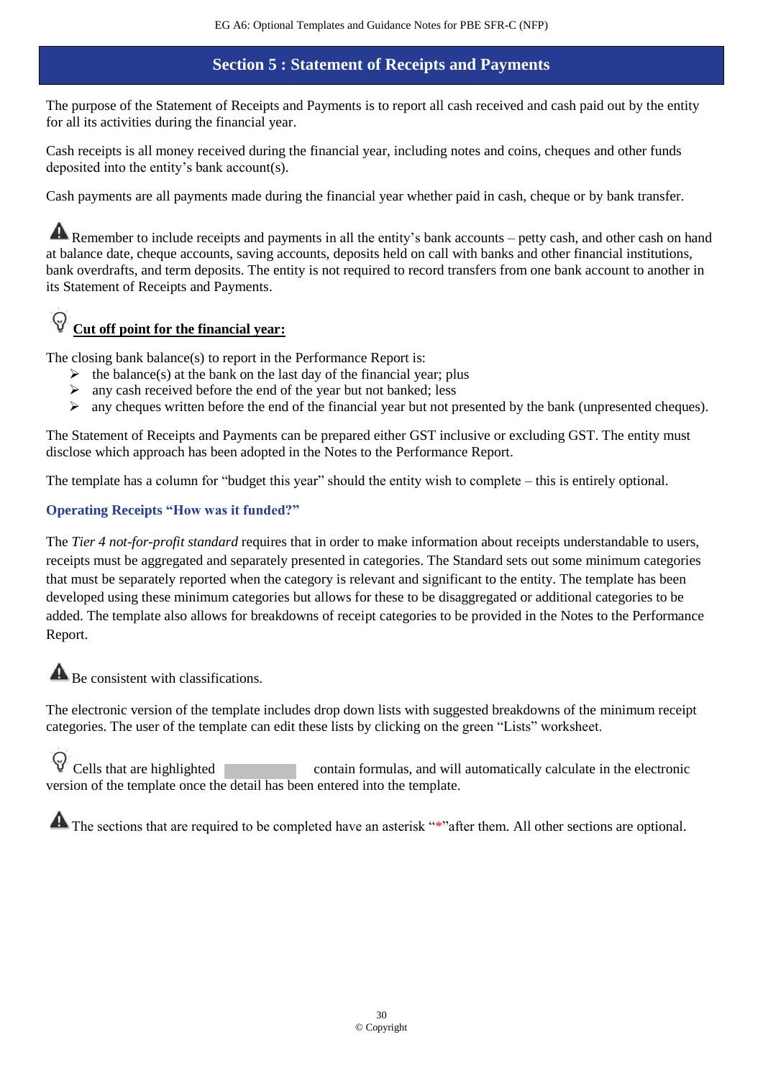## **Section 5 : Statement of Receipts and Payments**

The purpose of the Statement of Receipts and Payments is to report all cash received and cash paid out by the entity for all its activities during the financial year.

Cash receipts is all money received during the financial year, including notes and coins, cheques and other funds deposited into the entity's bank account(s).

Cash payments are all payments made during the financial year whether paid in cash, cheque or by bank transfer.

Remember to include receipts and payments in all the entity's bank accounts – petty cash, and other cash on hand at balance date, cheque accounts, saving accounts, deposits held on call with banks and other financial institutions, bank overdrafts, and term deposits. The entity is not required to record transfers from one bank account to another in its Statement of Receipts and Payments.

# **Cut off point for the financial year:**

The closing bank balance(s) to report in the Performance Report is:

- $\triangleright$  the balance(s) at the bank on the last day of the financial year; plus
- $\triangleright$  any cash received before the end of the year but not banked; less
- ➢ any cheques written before the end of the financial year but not presented by the bank (unpresented cheques).

The Statement of Receipts and Payments can be prepared either GST inclusive or excluding GST. The entity must disclose which approach has been adopted in the Notes to the Performance Report.

The template has a column for "budget this year" should the entity wish to complete – this is entirely optional.

### **Operating Receipts "How was it funded?"**

The *Tier 4 not-for-profit standard* requires that in order to make information about receipts understandable to users, receipts must be aggregated and separately presented in categories. The Standard sets out some minimum categories that must be separately reported when the category is relevant and significant to the entity. The template has been developed using these minimum categories but allows for these to be disaggregated or additional categories to be added. The template also allows for breakdowns of receipt categories to be provided in the Notes to the Performance Report.

**A** Be consistent with classifications.

The electronic version of the template includes drop down lists with suggested breakdowns of the minimum receipt categories. The user of the template can edit these lists by clicking on the green "Lists" worksheet.

Cells that are highlighted contain formulas, and will automatically calculate in the electronic version of the template once the detail has been entered into the template.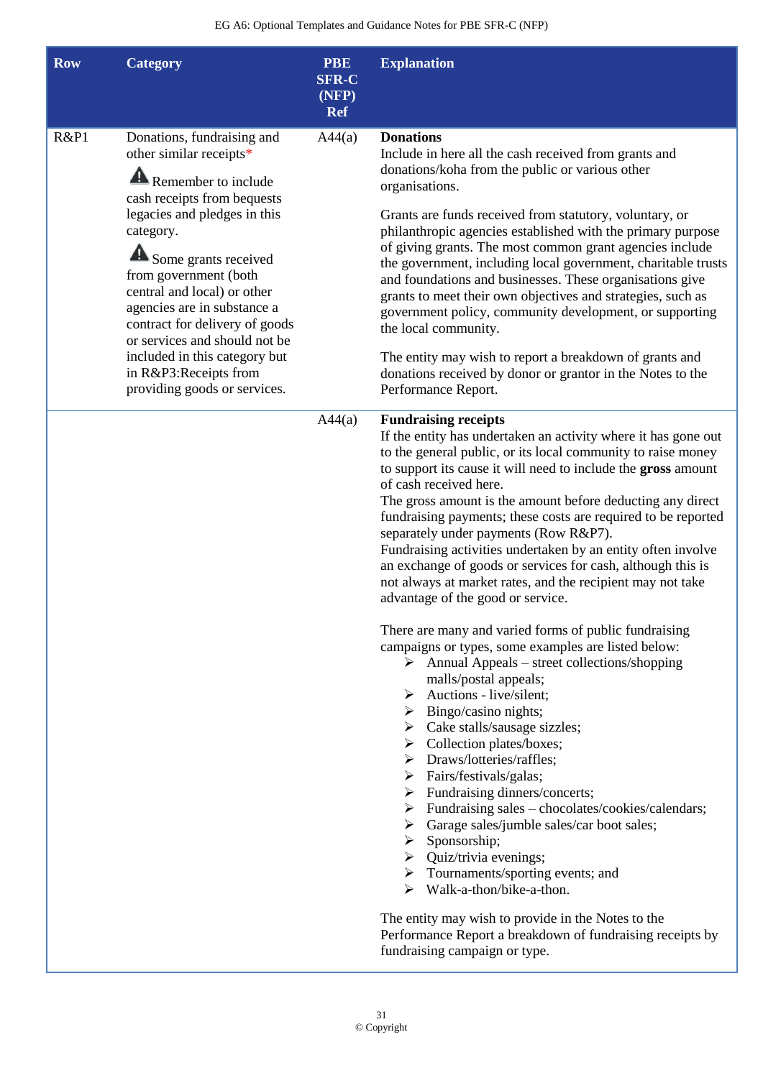| <b>Row</b> | <b>Category</b>                                                                                                                                                                                                                                                                                                                                                                                                                      | <b>PBE</b><br><b>SFR-C</b><br>(NFP)<br><b>Ref</b> | <b>Explanation</b>                                                                                                                                                                                                                                                                                                                                                                                                                                                                                                                                                                                                                                                                                                                                                                                                                                                                                                                                                                                                                                                                                                                                                                                                                                                                                                                                                                                                                                                                                                                                                                                                                                            |
|------------|--------------------------------------------------------------------------------------------------------------------------------------------------------------------------------------------------------------------------------------------------------------------------------------------------------------------------------------------------------------------------------------------------------------------------------------|---------------------------------------------------|---------------------------------------------------------------------------------------------------------------------------------------------------------------------------------------------------------------------------------------------------------------------------------------------------------------------------------------------------------------------------------------------------------------------------------------------------------------------------------------------------------------------------------------------------------------------------------------------------------------------------------------------------------------------------------------------------------------------------------------------------------------------------------------------------------------------------------------------------------------------------------------------------------------------------------------------------------------------------------------------------------------------------------------------------------------------------------------------------------------------------------------------------------------------------------------------------------------------------------------------------------------------------------------------------------------------------------------------------------------------------------------------------------------------------------------------------------------------------------------------------------------------------------------------------------------------------------------------------------------------------------------------------------------|
| R&P1       | Donations, fundraising and<br>other similar receipts*<br>Remember to include<br>cash receipts from bequests<br>legacies and pledges in this<br>category.<br>Some grants received<br>from government (both<br>central and local) or other<br>agencies are in substance a<br>contract for delivery of goods<br>or services and should not be<br>included in this category but<br>in R&P3:Receipts from<br>providing goods or services. | A44(a)                                            | <b>Donations</b><br>Include in here all the cash received from grants and<br>donations/koha from the public or various other<br>organisations.<br>Grants are funds received from statutory, voluntary, or<br>philanthropic agencies established with the primary purpose<br>of giving grants. The most common grant agencies include<br>the government, including local government, charitable trusts<br>and foundations and businesses. These organisations give<br>grants to meet their own objectives and strategies, such as<br>government policy, community development, or supporting<br>the local community.<br>The entity may wish to report a breakdown of grants and<br>donations received by donor or grantor in the Notes to the<br>Performance Report.                                                                                                                                                                                                                                                                                                                                                                                                                                                                                                                                                                                                                                                                                                                                                                                                                                                                                           |
|            |                                                                                                                                                                                                                                                                                                                                                                                                                                      | A44(a)                                            | <b>Fundraising receipts</b><br>If the entity has undertaken an activity where it has gone out<br>to the general public, or its local community to raise money<br>to support its cause it will need to include the gross amount<br>of cash received here.<br>The gross amount is the amount before deducting any direct<br>fundraising payments; these costs are required to be reported<br>separately under payments (Row R&P7).<br>Fundraising activities undertaken by an entity often involve<br>an exchange of goods or services for cash, although this is<br>not always at market rates, and the recipient may not take<br>advantage of the good or service.<br>There are many and varied forms of public fundraising<br>campaigns or types, some examples are listed below:<br>$\triangleright$ Annual Appeals – street collections/shopping<br>malls/postal appeals;<br>$\triangleright$ Auctions - live/silent;<br>$\triangleright$ Bingo/casino nights;<br>$\triangleright$ Cake stalls/sausage sizzles;<br>$\triangleright$ Collection plates/boxes;<br>$\triangleright$ Draws/lotteries/raffles;<br>$\triangleright$ Fairs/festivals/galas;<br>$\triangleright$ Fundraising dinners/concerts;<br>$\triangleright$ Fundraising sales – chocolates/cookies/calendars;<br>$\triangleright$ Garage sales/jumble sales/car boot sales;<br>$\triangleright$ Sponsorship;<br>$\triangleright$ Quiz/trivia evenings;<br>$\triangleright$ Tournaments/sporting events; and<br>Walk-a-thon/bike-a-thon.<br>The entity may wish to provide in the Notes to the<br>Performance Report a breakdown of fundraising receipts by<br>fundraising campaign or type. |

I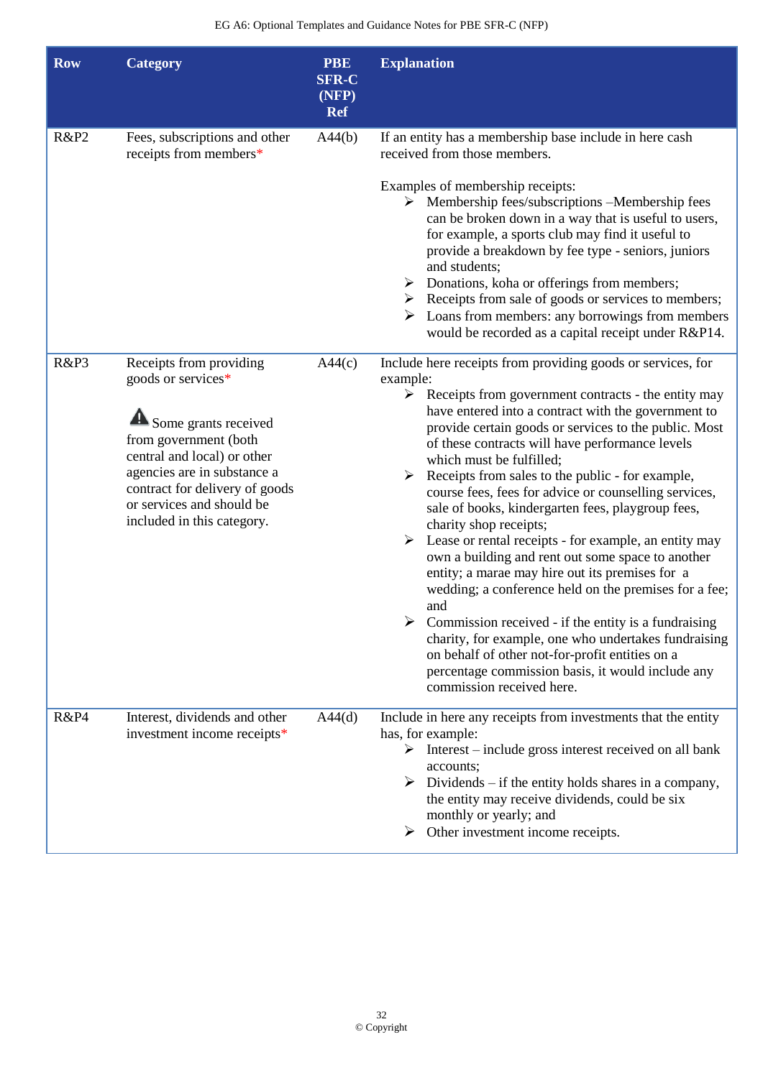| <b>Row</b>      | <b>Category</b>                                                                                                                                                                                                                                           | <b>PBE</b><br><b>SFR-C</b><br>(NFP)<br><b>Ref</b> | <b>Explanation</b>                                                                                                                                                                                                                                                                                                                                                                                                                                                                                                                                                                                                                                                                                                                                                                                                                                                                                                                                                                                                                    |
|-----------------|-----------------------------------------------------------------------------------------------------------------------------------------------------------------------------------------------------------------------------------------------------------|---------------------------------------------------|---------------------------------------------------------------------------------------------------------------------------------------------------------------------------------------------------------------------------------------------------------------------------------------------------------------------------------------------------------------------------------------------------------------------------------------------------------------------------------------------------------------------------------------------------------------------------------------------------------------------------------------------------------------------------------------------------------------------------------------------------------------------------------------------------------------------------------------------------------------------------------------------------------------------------------------------------------------------------------------------------------------------------------------|
| <b>R&amp;P2</b> | Fees, subscriptions and other<br>receipts from members*                                                                                                                                                                                                   | A44(b)                                            | If an entity has a membership base include in here cash<br>received from those members.<br>Examples of membership receipts:<br>$\triangleright$ Membership fees/subscriptions -Membership fees<br>can be broken down in a way that is useful to users,<br>for example, a sports club may find it useful to<br>provide a breakdown by fee type - seniors, juniors<br>and students;<br>Donations, koha or offerings from members;<br>➤<br>$\triangleright$ Receipts from sale of goods or services to members;<br>Loans from members: any borrowings from members<br>would be recorded as a capital receipt under R&P14.                                                                                                                                                                                                                                                                                                                                                                                                                |
| R&P3            | Receipts from providing<br>goods or services*<br>Some grants received<br>from government (both<br>central and local) or other<br>agencies are in substance a<br>contract for delivery of goods<br>or services and should be<br>included in this category. | A44(c)                                            | Include here receipts from providing goods or services, for<br>example:<br>$\triangleright$ Receipts from government contracts - the entity may<br>have entered into a contract with the government to<br>provide certain goods or services to the public. Most<br>of these contracts will have performance levels<br>which must be fulfilled;<br>Receipts from sales to the public - for example,<br>course fees, fees for advice or counselling services,<br>sale of books, kindergarten fees, playgroup fees,<br>charity shop receipts;<br>Lease or rental receipts - for example, an entity may<br>➤<br>own a building and rent out some space to another<br>entity; a marae may hire out its premises for a<br>wedding; a conference held on the premises for a fee;<br>and<br>Commission received - if the entity is a fundraising<br>charity, for example, one who undertakes fundraising<br>on behalf of other not-for-profit entities on a<br>percentage commission basis, it would include any<br>commission received here. |
| R&P4            | Interest, dividends and other<br>investment income receipts*                                                                                                                                                                                              | A44(d)                                            | Include in here any receipts from investments that the entity<br>has, for example:<br>Interest – include gross interest received on all bank<br>accounts;<br>Dividends $-$ if the entity holds shares in a company,<br>➤<br>the entity may receive dividends, could be six<br>monthly or yearly; and<br>Other investment income receipts.<br>➤                                                                                                                                                                                                                                                                                                                                                                                                                                                                                                                                                                                                                                                                                        |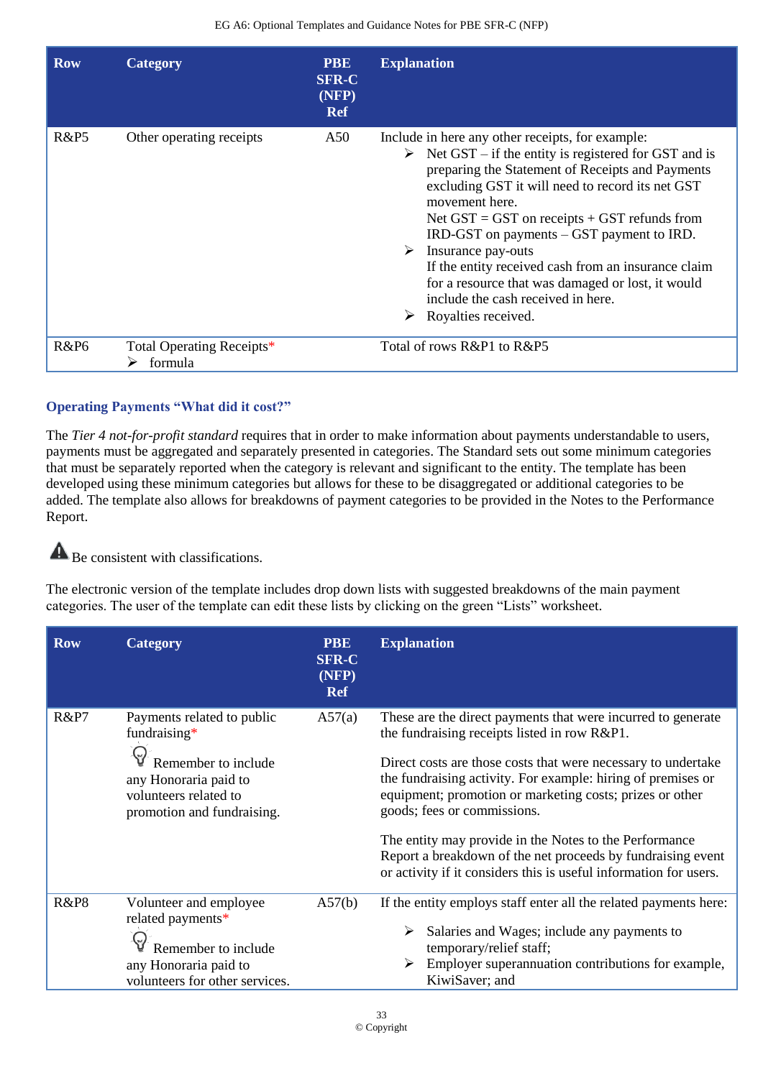| <b>Row</b>       | Category                             | <b>PBE</b><br><b>SFR-C</b><br>(NFP)<br><b>Ref</b> | <b>Explanation</b>                                                                                                                                                                                                                                                                                                                                                                                                                                                                                                                                           |
|------------------|--------------------------------------|---------------------------------------------------|--------------------------------------------------------------------------------------------------------------------------------------------------------------------------------------------------------------------------------------------------------------------------------------------------------------------------------------------------------------------------------------------------------------------------------------------------------------------------------------------------------------------------------------------------------------|
| <b>R&amp;P5</b>  | Other operating receipts             | A50                                               | Include in here any other receipts, for example:<br>Net $GST - if$ the entity is registered for $GST$ and is<br>➤<br>preparing the Statement of Receipts and Payments<br>excluding GST it will need to record its net GST<br>movement here.<br>Net $GST = GST$ on receipts $+ GST$ refunds from<br>$IRD-GST$ on payments $-$ GST payment to $IRD$ .<br>Insurance pay-outs<br>➤<br>If the entity received cash from an insurance claim<br>for a resource that was damaged or lost, it would<br>include the cash received in here.<br>Royalties received.<br>➤ |
| R&P <sub>6</sub> | Total Operating Receipts*<br>formula |                                                   | Total of rows R&P1 to R&P5                                                                                                                                                                                                                                                                                                                                                                                                                                                                                                                                   |

### **Operating Payments "What did it cost?"**

The *Tier 4 not-for-profit standard* requires that in order to make information about payments understandable to users, payments must be aggregated and separately presented in categories. The Standard sets out some minimum categories that must be separately reported when the category is relevant and significant to the entity. The template has been developed using these minimum categories but allows for these to be disaggregated or additional categories to be added. The template also allows for breakdowns of payment categories to be provided in the Notes to the Performance Report.

#### $\blacktriangle$ Be consistent with classifications.

The electronic version of the template includes drop down lists with suggested breakdowns of the main payment categories. The user of the template can edit these lists by clicking on the green "Lists" worksheet.

| <b>Row</b>      | <b>Category</b>                                                                                                                                      | <b>PBE</b><br><b>SFR-C</b><br>(NFP)<br><b>Ref</b> | <b>Explanation</b>                                                                                                                                                                                                                                                                                                                                                                                                                                                                                                                     |
|-----------------|------------------------------------------------------------------------------------------------------------------------------------------------------|---------------------------------------------------|----------------------------------------------------------------------------------------------------------------------------------------------------------------------------------------------------------------------------------------------------------------------------------------------------------------------------------------------------------------------------------------------------------------------------------------------------------------------------------------------------------------------------------------|
| <b>R&amp;P7</b> | Payments related to public<br>fundraising $*$<br>Remember to include<br>any Honoraria paid to<br>volunteers related to<br>promotion and fundraising. | A57(a)                                            | These are the direct payments that were incurred to generate<br>the fundraising receipts listed in row R&P1.<br>Direct costs are those costs that were necessary to undertake<br>the fundraising activity. For example: hiring of premises or<br>equipment; promotion or marketing costs; prizes or other<br>goods; fees or commissions.<br>The entity may provide in the Notes to the Performance<br>Report a breakdown of the net proceeds by fundraising event<br>or activity if it considers this is useful information for users. |
| <b>R&amp;P8</b> | Volunteer and employee<br>related payments*<br>Remember to include<br>any Honoraria paid to<br>volunteers for other services.                        | A57(b)                                            | If the entity employs staff enter all the related payments here:<br>Salaries and Wages; include any payments to<br>temporary/relief staff;<br>Employer superannuation contributions for example,<br>KiwiSaver; and                                                                                                                                                                                                                                                                                                                     |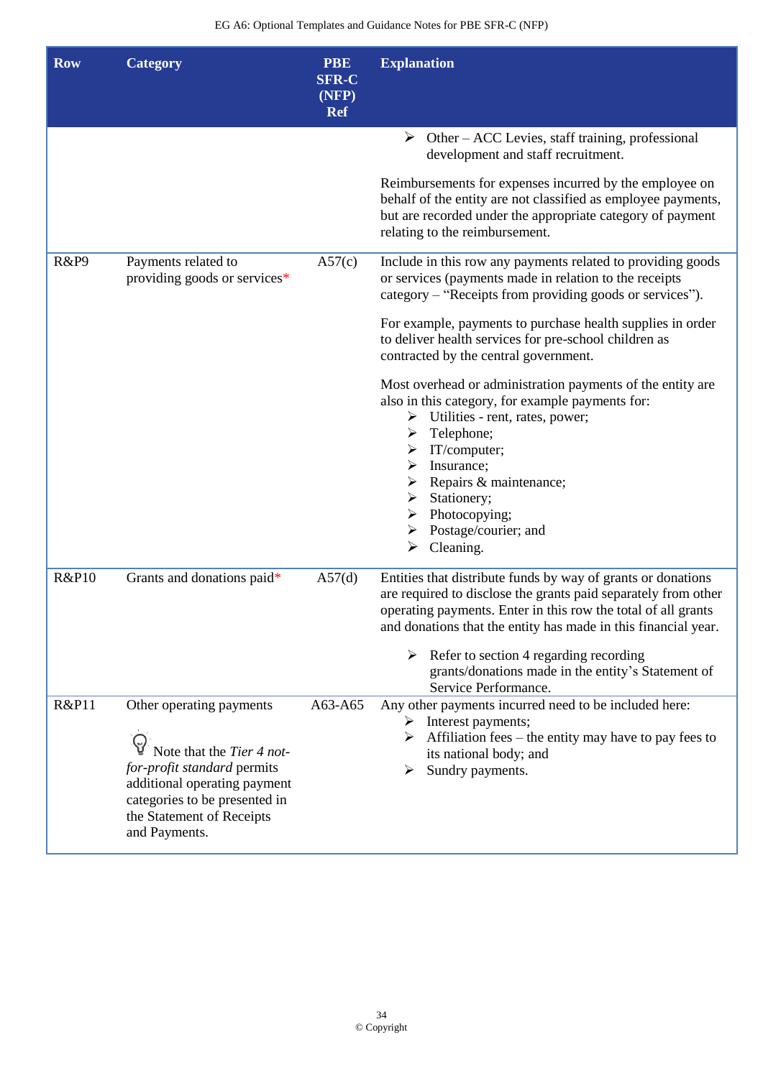| <b>Row</b>       | <b>Category</b>                                                                                                                                                                                     | <b>PBE</b><br><b>SFR-C</b><br>(NFP)<br><b>Ref</b> | <b>Explanation</b>                                                                                                                                                                                                                                                                                                                                                                                |
|------------------|-----------------------------------------------------------------------------------------------------------------------------------------------------------------------------------------------------|---------------------------------------------------|---------------------------------------------------------------------------------------------------------------------------------------------------------------------------------------------------------------------------------------------------------------------------------------------------------------------------------------------------------------------------------------------------|
|                  |                                                                                                                                                                                                     |                                                   | $\triangleright$ Other – ACC Levies, staff training, professional<br>development and staff recruitment.                                                                                                                                                                                                                                                                                           |
|                  |                                                                                                                                                                                                     |                                                   | Reimbursements for expenses incurred by the employee on<br>behalf of the entity are not classified as employee payments,<br>but are recorded under the appropriate category of payment<br>relating to the reimbursement.                                                                                                                                                                          |
| R&P9             | Payments related to<br>providing goods or services*                                                                                                                                                 | A57(c)                                            | Include in this row any payments related to providing goods<br>or services (payments made in relation to the receipts<br>category – "Receipts from providing goods or services").                                                                                                                                                                                                                 |
|                  |                                                                                                                                                                                                     |                                                   | For example, payments to purchase health supplies in order<br>to deliver health services for pre-school children as<br>contracted by the central government.                                                                                                                                                                                                                                      |
|                  |                                                                                                                                                                                                     |                                                   | Most overhead or administration payments of the entity are<br>also in this category, for example payments for:<br>$\triangleright$ Utilities - rent, rates, power;<br>Telephone;<br>➤<br>$\triangleright$ IT/computer;<br>Insurance;<br>➤<br>Repairs & maintenance;<br>➤<br>Stationery;<br>≻<br>$\triangleright$ Photocopying;<br>Postage/courier; and<br>➤<br>$\blacktriangleright$<br>Cleaning. |
| <b>R&amp;P10</b> | Grants and donations paid*                                                                                                                                                                          | A57(d)                                            | Entities that distribute funds by way of grants or donations<br>are required to disclose the grants paid separately from other<br>operating payments. Enter in this row the total of all grants<br>and donations that the entity has made in this financial year.<br>Refer to section 4 regarding recording<br>➤<br>grants/donations made in the entity's Statement of                            |
|                  |                                                                                                                                                                                                     |                                                   | Service Performance.                                                                                                                                                                                                                                                                                                                                                                              |
| <b>R&amp;P11</b> | Other operating payments<br>Note that the Tier 4 not-<br>for-profit standard permits<br>additional operating payment<br>categories to be presented in<br>the Statement of Receipts<br>and Payments. | A63-A65                                           | Any other payments incurred need to be included here:<br>$\triangleright$ Interest payments;<br>$\triangleright$ Affiliation fees – the entity may have to pay fees to<br>its national body; and<br>Sundry payments.<br>➤                                                                                                                                                                         |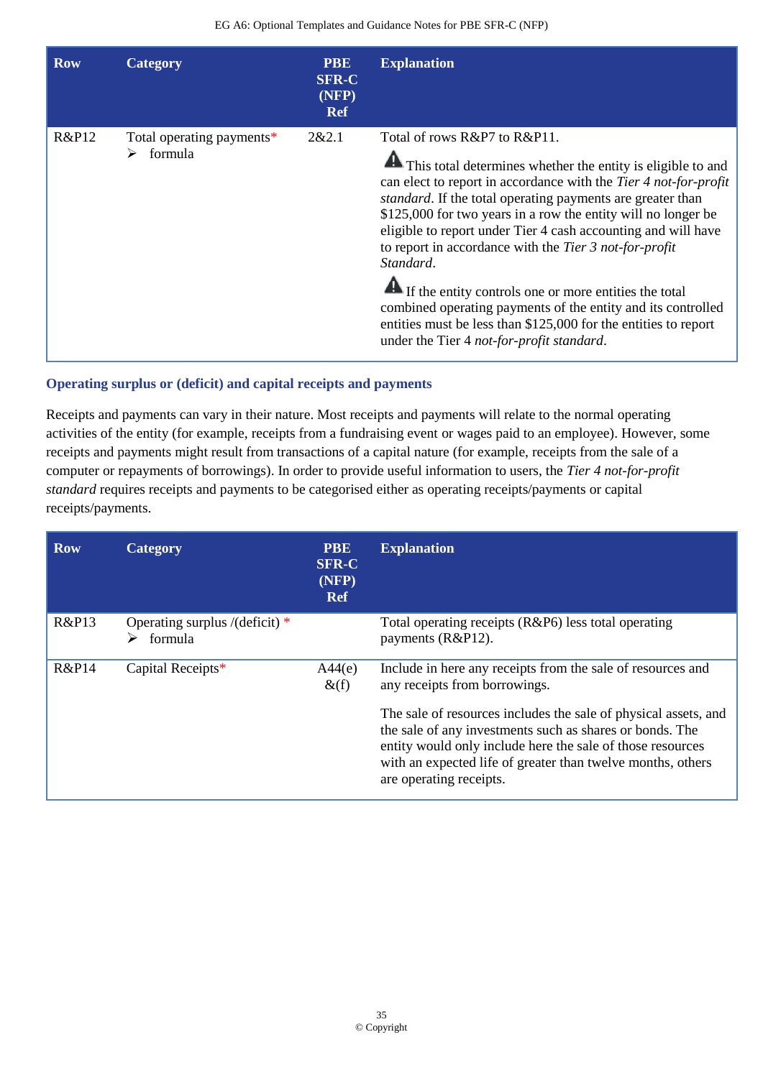| <b>Row</b>       | Category                             | <b>PBE</b><br><b>SFR-C</b><br>(NFP)<br><b>Ref</b> | <b>Explanation</b>                                                                                                                                                                                                                                                                                                                                                                                                                                                                                                                                                                                                                                                                      |
|------------------|--------------------------------------|---------------------------------------------------|-----------------------------------------------------------------------------------------------------------------------------------------------------------------------------------------------------------------------------------------------------------------------------------------------------------------------------------------------------------------------------------------------------------------------------------------------------------------------------------------------------------------------------------------------------------------------------------------------------------------------------------------------------------------------------------------|
| <b>R&amp;P12</b> | Total operating payments*<br>formula | 2&2.1                                             | Total of rows R&P7 to R&P11.<br>This total determines whether the entity is eligible to and<br>can elect to report in accordance with the Tier 4 not-for-profit<br><i>standard</i> . If the total operating payments are greater than<br>\$125,000 for two years in a row the entity will no longer be<br>eligible to report under Tier 4 cash accounting and will have<br>to report in accordance with the Tier 3 not-for-profit<br>Standard.<br>If the entity controls one or more entities the total<br>combined operating payments of the entity and its controlled<br>entities must be less than \$125,000 for the entities to report<br>under the Tier 4 not-for-profit standard. |

### **Operating surplus or (deficit) and capital receipts and payments**

Receipts and payments can vary in their nature. Most receipts and payments will relate to the normal operating activities of the entity (for example, receipts from a fundraising event or wages paid to an employee). However, some receipts and payments might result from transactions of a capital nature (for example, receipts from the sale of a computer or repayments of borrowings). In order to provide useful information to users, the *Tier 4 not-for-profit standard* requires receipts and payments to be categorised either as operating receipts/payments or capital receipts/payments.

| <b>Row</b>       | Category                                    | <b>PBE</b><br><b>SFR-C</b><br>(NFP)<br><b>Ref</b> | <b>Explanation</b>                                                                                                                                                                                                                                                                  |
|------------------|---------------------------------------------|---------------------------------------------------|-------------------------------------------------------------------------------------------------------------------------------------------------------------------------------------------------------------------------------------------------------------------------------------|
| R&P13            | Operating surplus /(deficit) $*$<br>formula |                                                   | Total operating receipts $(R&P6)$ less total operating<br>payments (R&P12).                                                                                                                                                                                                         |
| <b>R&amp;P14</b> | Capital Receipts*                           | A44(e)<br>$\&$ (f)                                | Include in here any receipts from the sale of resources and<br>any receipts from borrowings.                                                                                                                                                                                        |
|                  |                                             |                                                   | The sale of resources includes the sale of physical assets, and<br>the sale of any investments such as shares or bonds. The<br>entity would only include here the sale of those resources<br>with an expected life of greater than twelve months, others<br>are operating receipts. |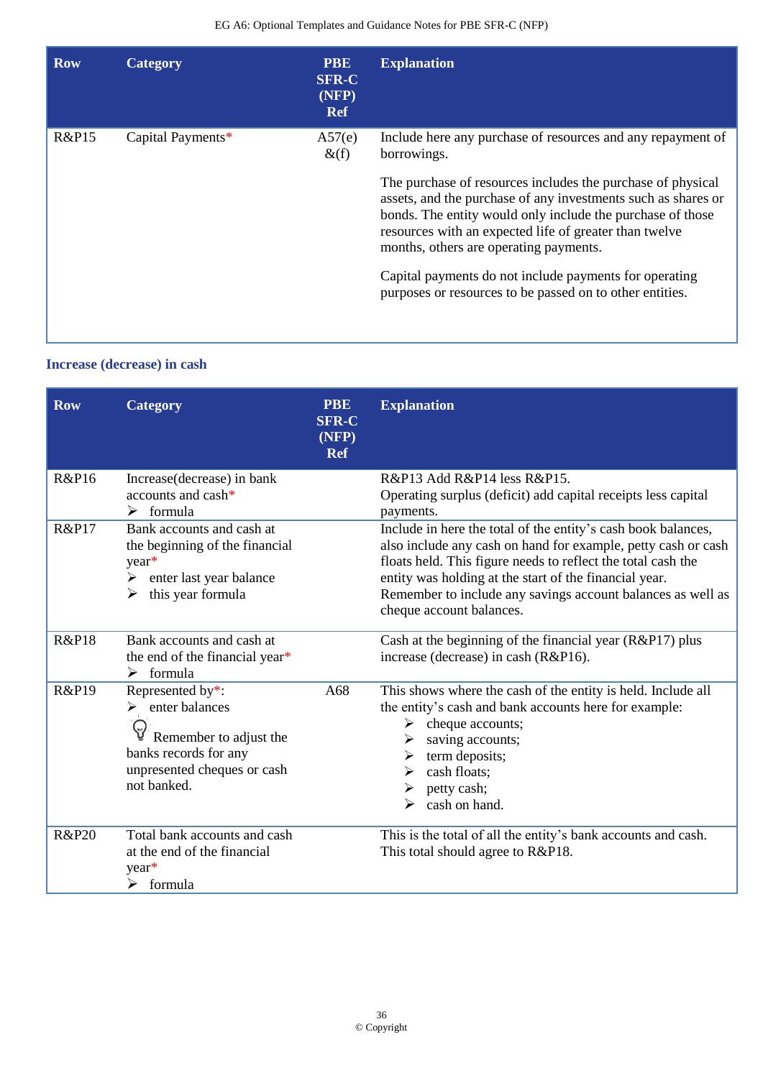| <b>Row</b>       | <b>Category</b>   | <b>PBE</b><br><b>SFR-C</b><br>(NFP)<br><b>Ref</b> | <b>Explanation</b>                                                                                                                                                                                                                                                                                                                                                                                                   |
|------------------|-------------------|---------------------------------------------------|----------------------------------------------------------------------------------------------------------------------------------------------------------------------------------------------------------------------------------------------------------------------------------------------------------------------------------------------------------------------------------------------------------------------|
| <b>R&amp;P15</b> | Capital Payments* | A57(e)<br>$\&$ (f)                                | Include here any purchase of resources and any repayment of<br>borrowings.                                                                                                                                                                                                                                                                                                                                           |
|                  |                   |                                                   | The purchase of resources includes the purchase of physical<br>assets, and the purchase of any investments such as shares or<br>bonds. The entity would only include the purchase of those<br>resources with an expected life of greater than twelve<br>months, others are operating payments.<br>Capital payments do not include payments for operating<br>purposes or resources to be passed on to other entities. |
|                  |                   |                                                   |                                                                                                                                                                                                                                                                                                                                                                                                                      |

### **Increase (decrease) in cash**

| <b>Row</b>       | <b>Category</b>                                                                                                                                      | <b>PBE</b><br><b>SFR-C</b><br>(NFP)<br><b>Ref</b> | <b>Explanation</b>                                                                                                                                                                                                                                                                                                                                  |
|------------------|------------------------------------------------------------------------------------------------------------------------------------------------------|---------------------------------------------------|-----------------------------------------------------------------------------------------------------------------------------------------------------------------------------------------------------------------------------------------------------------------------------------------------------------------------------------------------------|
| <b>R&amp;P16</b> | Increase(decrease) in bank<br>accounts and $cash^*$<br>$\triangleright$ formula                                                                      |                                                   | R&P13 Add R&P14 less R&P15.<br>Operating surplus (deficit) add capital receipts less capital<br>payments.                                                                                                                                                                                                                                           |
| <b>R&amp;P17</b> | Bank accounts and cash at<br>the beginning of the financial<br>year*<br>enter last year balance<br>≻<br>this year formula<br>➤                       |                                                   | Include in here the total of the entity's cash book balances,<br>also include any cash on hand for example, petty cash or cash<br>floats held. This figure needs to reflect the total cash the<br>entity was holding at the start of the financial year.<br>Remember to include any savings account balances as well as<br>cheque account balances. |
| <b>R&amp;P18</b> | Bank accounts and cash at<br>the end of the financial year*<br>formula<br>➤                                                                          |                                                   | Cash at the beginning of the financial year $(R&P17)$ plus<br>increase (decrease) in cash (R&P16).                                                                                                                                                                                                                                                  |
| <b>R&amp;P19</b> | Represented by*:<br>$\triangleright$ enter balances<br>Remember to adjust the<br>banks records for any<br>unpresented cheques or cash<br>not banked. | A68                                               | This shows where the cash of the entity is held. Include all<br>the entity's cash and bank accounts here for example:<br>cheque accounts;<br>➤<br>saving accounts;<br>term deposits;<br>➤<br>cash floats;<br>➤<br>petty cash;<br>cash on hand.<br>➤                                                                                                 |
| <b>R&amp;P20</b> | Total bank accounts and cash<br>at the end of the financial<br>year*<br>$\triangleright$ formula                                                     |                                                   | This is the total of all the entity's bank accounts and cash.<br>This total should agree to R&P18.                                                                                                                                                                                                                                                  |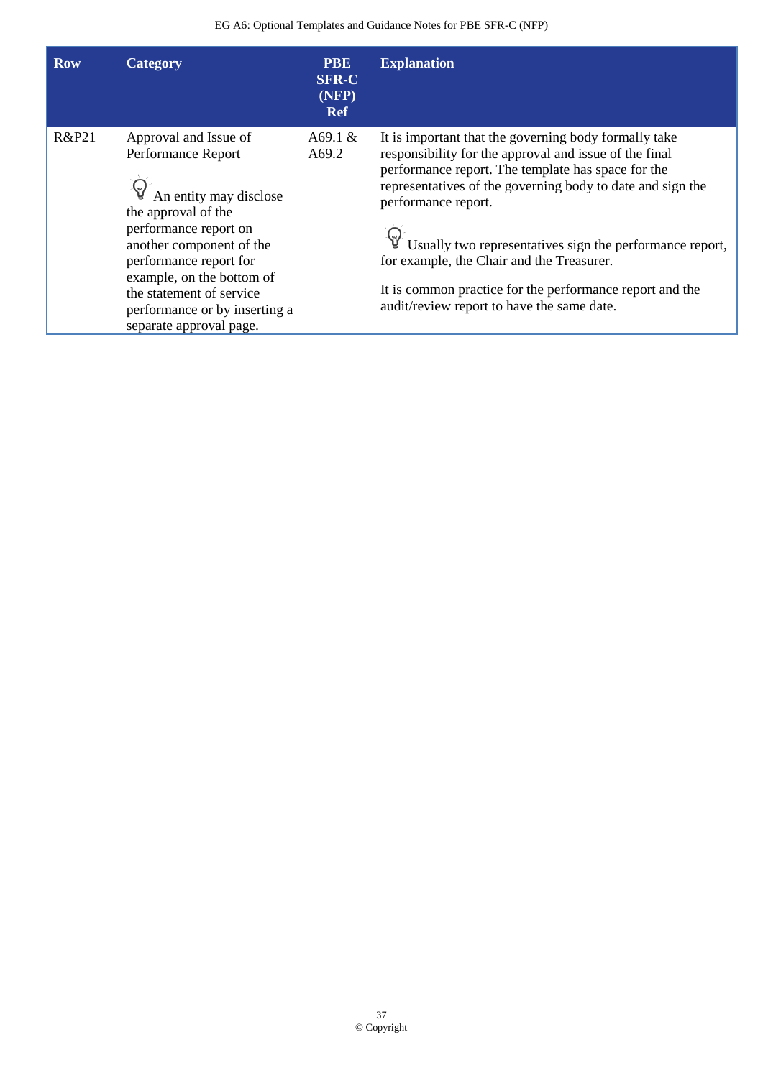| <b>Row</b> | Category                                                                                                                                                                                                                                                                                                        | <b>PBE</b><br><b>SFR-C</b><br>(NFP)<br><b>Ref</b> | <b>Explanation</b>                                                                                                                                                                                                                                                                                                                                                                                                                                                            |
|------------|-----------------------------------------------------------------------------------------------------------------------------------------------------------------------------------------------------------------------------------------------------------------------------------------------------------------|---------------------------------------------------|-------------------------------------------------------------------------------------------------------------------------------------------------------------------------------------------------------------------------------------------------------------------------------------------------------------------------------------------------------------------------------------------------------------------------------------------------------------------------------|
| R&P21      | Approval and Issue of<br>Performance Report<br>$\mathbb{Q}^2$ An entity may disclose<br>the approval of the<br>performance report on<br>another component of the<br>performance report for<br>example, on the bottom of<br>the statement of service<br>performance or by inserting a<br>separate approval page. | A69.1 $&$<br>A69.2                                | It is important that the governing body formally take<br>responsibility for the approval and issue of the final<br>performance report. The template has space for the<br>representatives of the governing body to date and sign the<br>performance report.<br>Usually two representatives sign the performance report,<br>for example, the Chair and the Treasurer.<br>It is common practice for the performance report and the<br>audit/review report to have the same date. |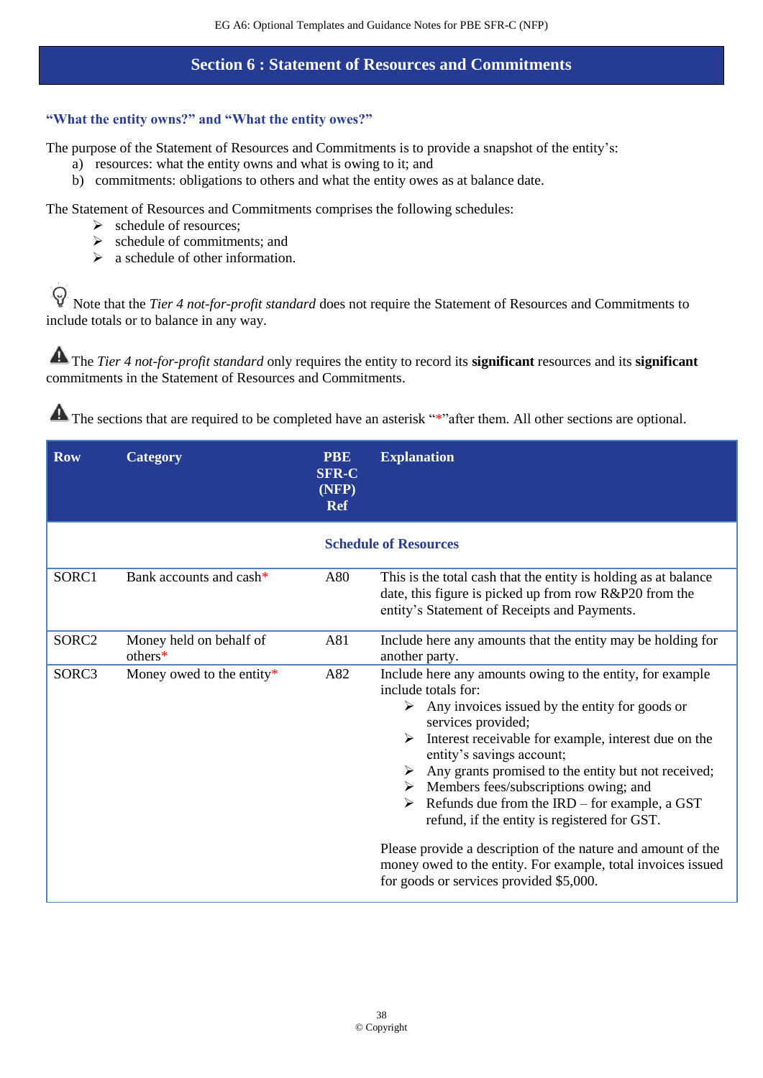### **Section 6 : Statement of Resources and Commitments**

### **"What the entity owns?" and "What the entity owes?"**

The purpose of the Statement of Resources and Commitments is to provide a snapshot of the entity's:

- a) resources: what the entity owns and what is owing to it; and
- b) commitments: obligations to others and what the entity owes as at balance date.

The Statement of Resources and Commitments comprises the following schedules:

- ➢ schedule of resources;
- $\geq$  schedule of commitments; and
- $\geq$  a schedule of other information.

 $\Theta$ Note that the *Tier 4 not-for-profit standard* does not require the Statement of Resources and Commitments to include totals or to balance in any way.

The *Tier 4 not-for-profit standard* only requires the entity to record its **significant** resources and its **significant** commitments in the Statement of Resources and Commitments.

| <b>Row</b>        | <b>Category</b>                    | <b>PBE</b><br><b>SFR-C</b><br>(NFP)<br><b>Ref</b> | <b>Explanation</b>                                                                                                                                                                                                                                                                                                                                                                                                                                                                                                                                                                                                                                                         |
|-------------------|------------------------------------|---------------------------------------------------|----------------------------------------------------------------------------------------------------------------------------------------------------------------------------------------------------------------------------------------------------------------------------------------------------------------------------------------------------------------------------------------------------------------------------------------------------------------------------------------------------------------------------------------------------------------------------------------------------------------------------------------------------------------------------|
|                   |                                    |                                                   | <b>Schedule of Resources</b>                                                                                                                                                                                                                                                                                                                                                                                                                                                                                                                                                                                                                                               |
| SORC1             | Bank accounts and cash*            | A80                                               | This is the total cash that the entity is holding as at balance<br>date, this figure is picked up from row R&P20 from the<br>entity's Statement of Receipts and Payments.                                                                                                                                                                                                                                                                                                                                                                                                                                                                                                  |
| SORC <sub>2</sub> | Money held on behalf of<br>others* | A81                                               | Include here any amounts that the entity may be holding for<br>another party.                                                                                                                                                                                                                                                                                                                                                                                                                                                                                                                                                                                              |
| SORC3             | Money owed to the entity*          | A82                                               | Include here any amounts owing to the entity, for example<br>include totals for:<br>Any invoices issued by the entity for goods or<br>≻<br>services provided;<br>Interest receivable for example, interest due on the<br>➤<br>entity's savings account;<br>$\triangleright$ Any grants promised to the entity but not received;<br>$\triangleright$ Members fees/subscriptions owing; and<br>Refunds due from the IRD – for example, a GST<br>➤<br>refund, if the entity is registered for GST.<br>Please provide a description of the nature and amount of the<br>money owed to the entity. For example, total invoices issued<br>for goods or services provided \$5,000. |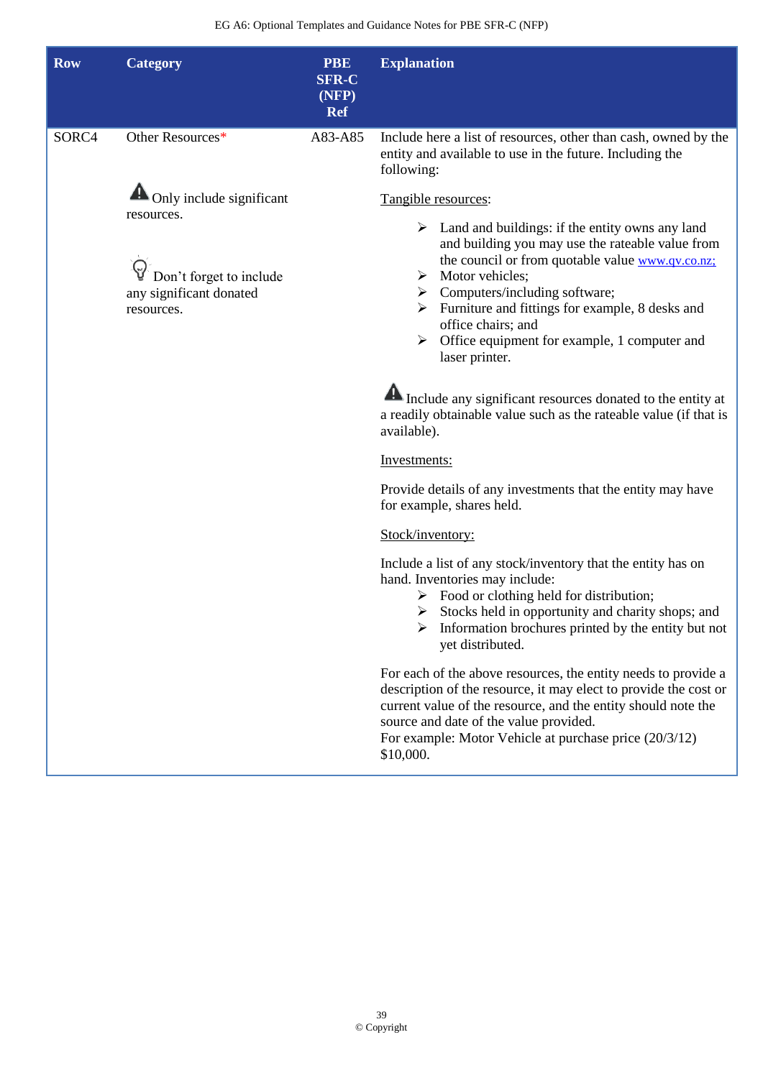| <b>Row</b> | <b>Category</b>                                                                | <b>PBE</b><br><b>SFR-C</b><br>(NFP)<br><b>Ref</b> | <b>Explanation</b>                                                                                                                                                                                                                                                                                                                                                           |
|------------|--------------------------------------------------------------------------------|---------------------------------------------------|------------------------------------------------------------------------------------------------------------------------------------------------------------------------------------------------------------------------------------------------------------------------------------------------------------------------------------------------------------------------------|
| SORC4      | Other Resources*                                                               | A83-A85                                           | Include here a list of resources, other than cash, owned by the<br>entity and available to use in the future. Including the<br>following:                                                                                                                                                                                                                                    |
|            | $\triangle$ Only include significant                                           |                                                   | Tangible resources:                                                                                                                                                                                                                                                                                                                                                          |
|            | resources.<br>Don't forget to include<br>any significant donated<br>resources. |                                                   | $\triangleright$ Land and buildings: if the entity owns any land<br>and building you may use the rateable value from<br>the council or from quotable value www.qv.co.nz;<br>Motor vehicles;<br>➤<br>Computers/including software;<br>Furniture and fittings for example, 8 desks and<br>office chairs; and<br>Office equipment for example, 1 computer and<br>laser printer. |
|            |                                                                                |                                                   | Include any significant resources donated to the entity at<br>a readily obtainable value such as the rateable value (if that is<br>available).                                                                                                                                                                                                                               |
|            |                                                                                |                                                   | Investments:                                                                                                                                                                                                                                                                                                                                                                 |
|            |                                                                                |                                                   | Provide details of any investments that the entity may have<br>for example, shares held.                                                                                                                                                                                                                                                                                     |
|            |                                                                                |                                                   | Stock/inventory:                                                                                                                                                                                                                                                                                                                                                             |
|            |                                                                                |                                                   | Include a list of any stock/inventory that the entity has on<br>hand. Inventories may include:<br>$\triangleright$ Food or clothing held for distribution;<br>Stocks held in opportunity and charity shops; and<br>Information brochures printed by the entity but not<br>yet distributed.                                                                                   |
|            |                                                                                |                                                   | For each of the above resources, the entity needs to provide a<br>description of the resource, it may elect to provide the cost or<br>current value of the resource, and the entity should note the<br>source and date of the value provided.<br>For example: Motor Vehicle at purchase price (20/3/12)<br>\$10,000.                                                         |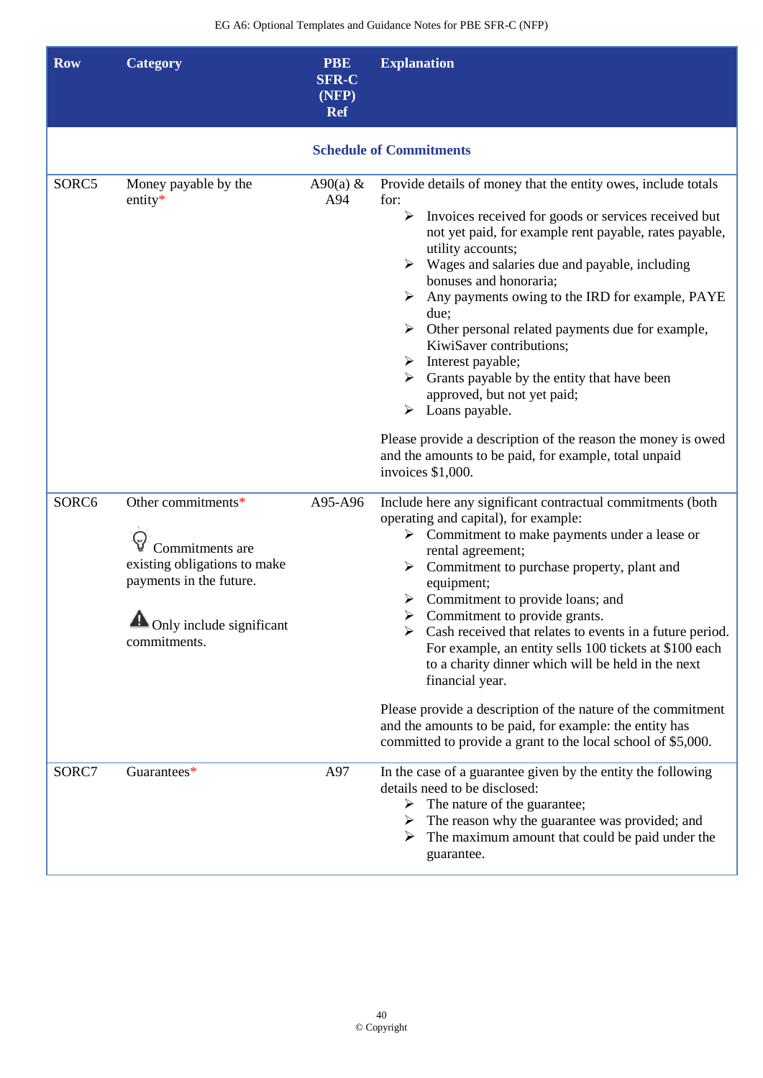| <b>Row</b> | <b>Category</b>                                                                                                                                                  | <b>PBE</b><br><b>SFR-C</b><br>(NFP)<br><b>Ref</b> | <b>Explanation</b>                                                                                                                                                                                                                                                                                                                                                                                                                                                                                                                                                                                                                                                                                                                                                                              |
|------------|------------------------------------------------------------------------------------------------------------------------------------------------------------------|---------------------------------------------------|-------------------------------------------------------------------------------------------------------------------------------------------------------------------------------------------------------------------------------------------------------------------------------------------------------------------------------------------------------------------------------------------------------------------------------------------------------------------------------------------------------------------------------------------------------------------------------------------------------------------------------------------------------------------------------------------------------------------------------------------------------------------------------------------------|
|            |                                                                                                                                                                  |                                                   | <b>Schedule of Commitments</b>                                                                                                                                                                                                                                                                                                                                                                                                                                                                                                                                                                                                                                                                                                                                                                  |
| SORC5      | Money payable by the<br>entity $*$                                                                                                                               | A90(a) $&$<br>A94                                 | Provide details of money that the entity owes, include totals<br>for:<br>Invoices received for goods or services received but<br>⋗<br>not yet paid, for example rent payable, rates payable,<br>utility accounts;<br>$\triangleright$ Wages and salaries due and payable, including<br>bonuses and honoraria;<br>$\triangleright$ Any payments owing to the IRD for example, PAYE<br>due;<br>$\triangleright$ Other personal related payments due for example,<br>KiwiSaver contributions;<br>$\triangleright$ Interest payable;<br>Grants payable by the entity that have been<br>approved, but not yet paid;<br>$\triangleright$ Loans payable.<br>Please provide a description of the reason the money is owed<br>and the amounts to be paid, for example, total unpaid<br>invoices \$1,000. |
| SORC6      | Other commitments*<br>Commitments are<br>existing obligations to make<br>payments in the future.<br>$\blacktriangle$<br>Only include significant<br>commitments. | A95-A96                                           | Include here any significant contractual commitments (both<br>operating and capital), for example:<br>$\triangleright$ Commitment to make payments under a lease or<br>rental agreement;<br>$\triangleright$ Commitment to purchase property, plant and<br>equipment;<br>$\triangleright$ Commitment to provide loans; and<br>Commitment to provide grants.<br>Cash received that relates to events in a future period.<br>For example, an entity sells 100 tickets at \$100 each<br>to a charity dinner which will be held in the next<br>financial year.<br>Please provide a description of the nature of the commitment<br>and the amounts to be paid, for example: the entity has<br>committed to provide a grant to the local school of \$5,000.                                           |
| SORC7      | Guarantees*                                                                                                                                                      | A97                                               | In the case of a guarantee given by the entity the following<br>details need to be disclosed:<br>The nature of the guarantee;<br>➤<br>The reason why the guarantee was provided; and<br>➤<br>The maximum amount that could be paid under the<br>guarantee.                                                                                                                                                                                                                                                                                                                                                                                                                                                                                                                                      |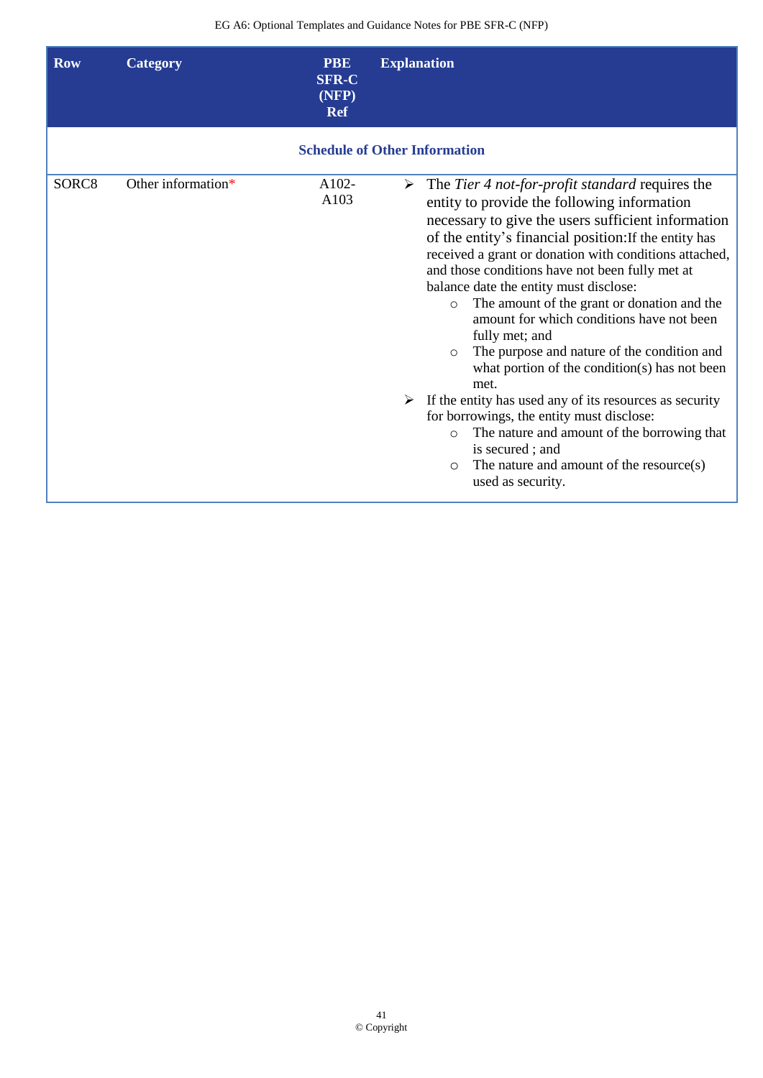| <b>Row</b> | Category           | <b>PBE</b><br><b>SFR-C</b><br>(NFP)<br><b>Ref</b> | <b>Explanation</b>                                                                                                                                                                                                                                                                                                                                                                                                                                                                                                                                                                                                                                                                                                                                                                                                                                                                                                           |
|------------|--------------------|---------------------------------------------------|------------------------------------------------------------------------------------------------------------------------------------------------------------------------------------------------------------------------------------------------------------------------------------------------------------------------------------------------------------------------------------------------------------------------------------------------------------------------------------------------------------------------------------------------------------------------------------------------------------------------------------------------------------------------------------------------------------------------------------------------------------------------------------------------------------------------------------------------------------------------------------------------------------------------------|
|            |                    |                                                   | <b>Schedule of Other Information</b>                                                                                                                                                                                                                                                                                                                                                                                                                                                                                                                                                                                                                                                                                                                                                                                                                                                                                         |
| SORC8      | Other information* | A102-<br>A103                                     | $\triangleright$ The <i>Tier 4 not-for-profit standard</i> requires the<br>entity to provide the following information<br>necessary to give the users sufficient information<br>of the entity's financial position: If the entity has<br>received a grant or donation with conditions attached,<br>and those conditions have not been fully met at<br>balance date the entity must disclose:<br>The amount of the grant or donation and the<br>$\circ$<br>amount for which conditions have not been<br>fully met; and<br>The purpose and nature of the condition and<br>$\Omega$<br>what portion of the condition(s) has not been<br>met.<br>$\triangleright$ If the entity has used any of its resources as security<br>for borrowings, the entity must disclose:<br>The nature and amount of the borrowing that<br>$\Omega$<br>is secured; and<br>The nature and amount of the resource(s)<br>$\circ$<br>used as security. |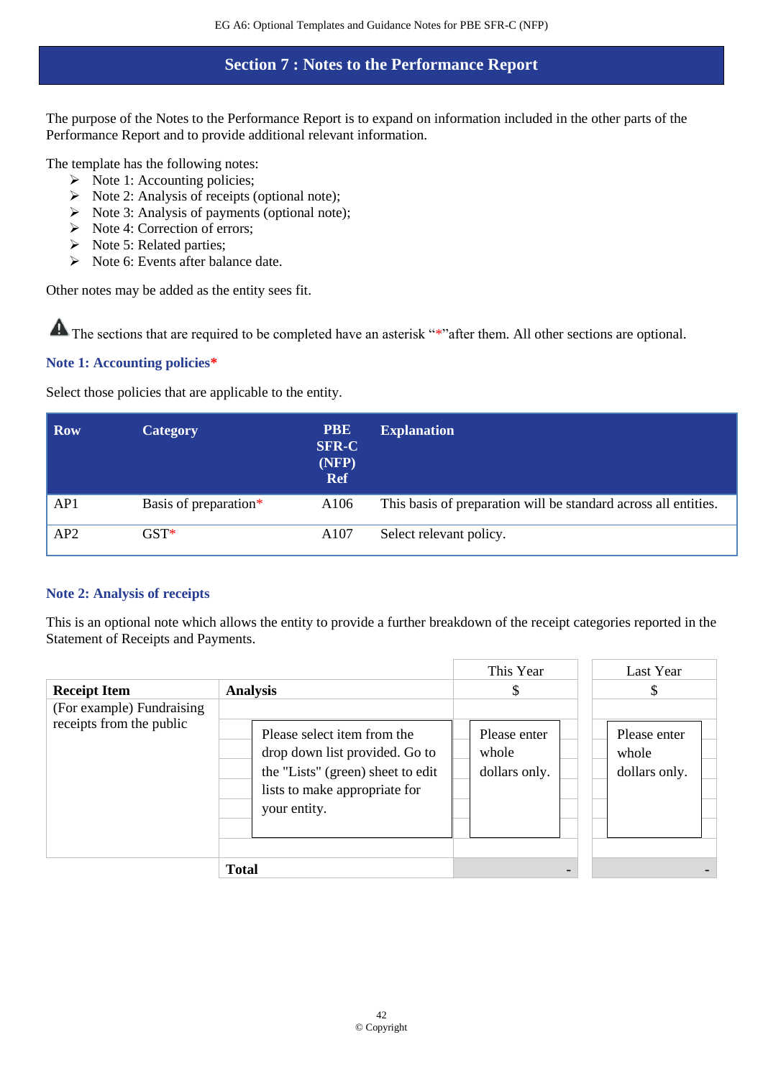## **Section 7 : Notes to the Performance Report**

The purpose of the Notes to the Performance Report is to expand on information included in the other parts of the Performance Report and to provide additional relevant information.

The template has the following notes:

- ➢ Note 1: Accounting policies;
- $\triangleright$  Note 2: Analysis of receipts (optional note);
- $\triangleright$  Note 3: Analysis of payments (optional note);
- ➢ Note 4: Correction of errors;
- ➢ Note 5: Related parties;
- ➢ Note 6: Events after balance date.

Other notes may be added as the entity sees fit.

The sections that are required to be completed have an asterisk "\*"after them. All other sections are optional.

### **Note 1: Accounting policies\***

Select those policies that are applicable to the entity.

| <b>Row</b> | <b>Category</b>       | <b>PBE</b><br><b>SFR-C</b><br>(NFP)<br><b>Ref</b> | <b>Explanation</b>                                              |
|------------|-----------------------|---------------------------------------------------|-----------------------------------------------------------------|
| AP1        | Basis of preparation* | A106                                              | This basis of preparation will be standard across all entities. |
| AP2        | $\operatorname{GST}*$ | A107                                              | Select relevant policy.                                         |

### **Note 2: Analysis of receipts**

This is an optional note which allows the entity to provide a further breakdown of the receipt categories reported in the Statement of Receipts and Payments.

|                                                       |                                                                                                                                                     | This Year                              | Last Year                              |  |
|-------------------------------------------------------|-----------------------------------------------------------------------------------------------------------------------------------------------------|----------------------------------------|----------------------------------------|--|
| <b>Receipt Item</b>                                   | <b>Analysis</b>                                                                                                                                     | \$                                     | \$.                                    |  |
| (For example) Fundraising<br>receipts from the public | Please select item from the<br>drop down list provided. Go to<br>the "Lists" (green) sheet to edit<br>lists to make appropriate for<br>your entity. | Please enter<br>whole<br>dollars only. | Please enter<br>whole<br>dollars only. |  |
|                                                       | <b>Total</b>                                                                                                                                        |                                        |                                        |  |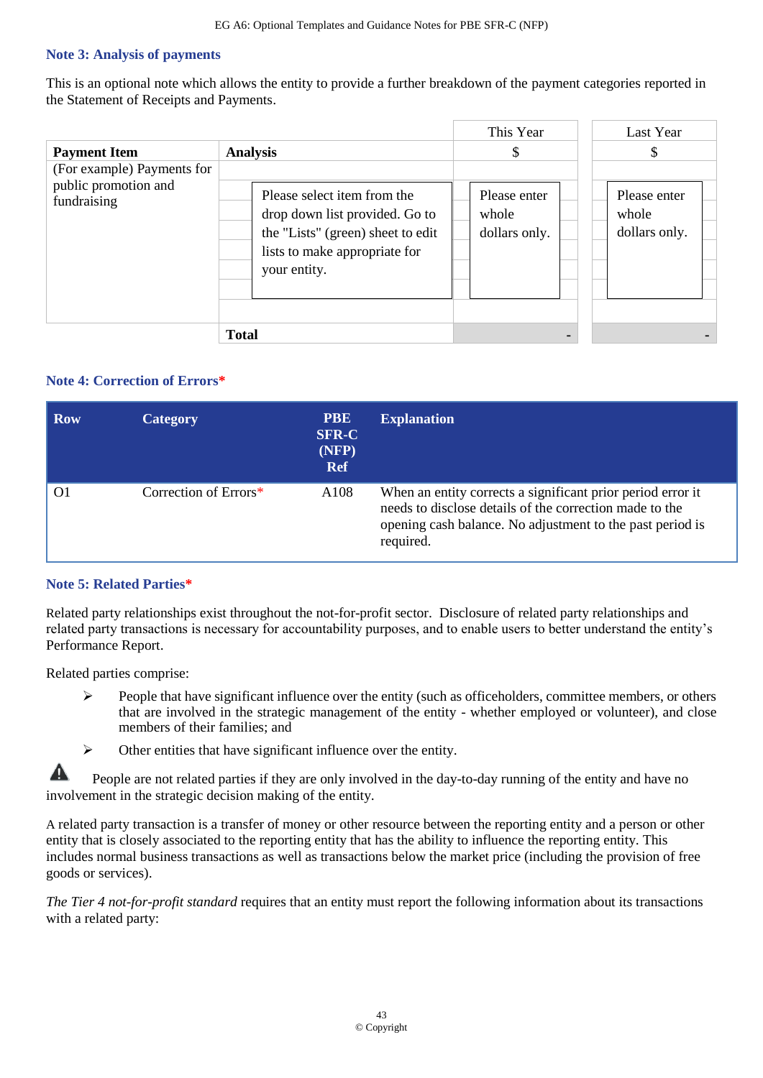#### **Note 3: Analysis of payments**

This is an optional note which allows the entity to provide a further breakdown of the payment categories reported in the Statement of Receipts and Payments.

|                                                                   |                                                                                                                                                     | This Year                              | Last Year                              |
|-------------------------------------------------------------------|-----------------------------------------------------------------------------------------------------------------------------------------------------|----------------------------------------|----------------------------------------|
| <b>Payment Item</b>                                               | <b>Analysis</b>                                                                                                                                     | \$                                     |                                        |
| (For example) Payments for<br>public promotion and<br>fundraising | Please select item from the<br>drop down list provided. Go to<br>the "Lists" (green) sheet to edit<br>lists to make appropriate for<br>your entity. | Please enter<br>whole<br>dollars only. | Please enter<br>whole<br>dollars only. |
|                                                                   | <b>Total</b>                                                                                                                                        |                                        |                                        |

### **Note 4: Correction of Errors\***

| Row | Category              | <b>PBE</b><br><b>SFR-C</b><br>(NFP)<br><b>Ref</b> | <b>Explanation</b>                                                                                                                                                                               |
|-----|-----------------------|---------------------------------------------------|--------------------------------------------------------------------------------------------------------------------------------------------------------------------------------------------------|
|     | Correction of Errors* | A <sub>108</sub>                                  | When an entity corrects a significant prior period error it<br>needs to disclose details of the correction made to the<br>opening cash balance. No adjustment to the past period is<br>required. |

#### **Note 5: Related Parties\***

Related party relationships exist throughout the not-for-profit sector. Disclosure of related party relationships and related party transactions is necessary for accountability purposes, and to enable users to better understand the entity's Performance Report.

Related parties comprise:

- $\triangleright$  People that have significant influence over the entity (such as officeholders, committee members, or others that are involved in the strategic management of the entity - whether employed or volunteer), and close members of their families; and
- ➢ Other entities that have significant influence over the entity.

A People are not related parties if they are only involved in the day-to-day running of the entity and have no involvement in the strategic decision making of the entity.

A related party transaction is a transfer of money or other resource between the reporting entity and a person or other entity that is closely associated to the reporting entity that has the ability to influence the reporting entity. This includes normal business transactions as well as transactions below the market price (including the provision of free goods or services).

*The Tier 4 not-for-profit standard* requires that an entity must report the following information about its transactions with a related party: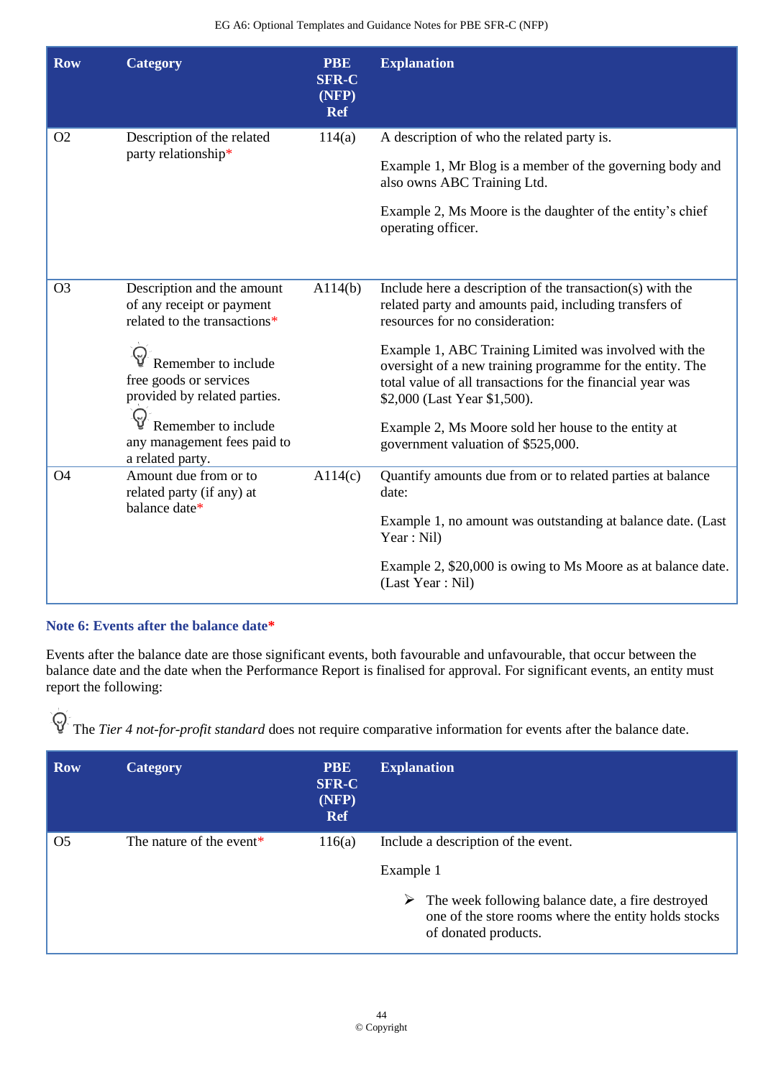| <b>Row</b>     | <b>Category</b>                                                                                                                                                                                                                                    | <b>PBE</b><br><b>SFR-C</b><br>(NFP)<br><b>Ref</b> | <b>Explanation</b>                                                                                                                                                                                                                                                                                                                                                                                                                                                      |
|----------------|----------------------------------------------------------------------------------------------------------------------------------------------------------------------------------------------------------------------------------------------------|---------------------------------------------------|-------------------------------------------------------------------------------------------------------------------------------------------------------------------------------------------------------------------------------------------------------------------------------------------------------------------------------------------------------------------------------------------------------------------------------------------------------------------------|
| O <sub>2</sub> | Description of the related<br>party relationship*                                                                                                                                                                                                  | 114(a)                                            | A description of who the related party is.<br>Example 1, Mr Blog is a member of the governing body and<br>also owns ABC Training Ltd.<br>Example 2, Ms Moore is the daughter of the entity's chief<br>operating officer.                                                                                                                                                                                                                                                |
| O <sub>3</sub> | Description and the amount<br>of any receipt or payment<br>related to the transactions*<br>Remember to include<br>free goods or services<br>provided by related parties.<br>Remember to include<br>any management fees paid to<br>a related party. | A114(b)                                           | Include here a description of the transaction(s) with the<br>related party and amounts paid, including transfers of<br>resources for no consideration:<br>Example 1, ABC Training Limited was involved with the<br>oversight of a new training programme for the entity. The<br>total value of all transactions for the financial year was<br>\$2,000 (Last Year \$1,500).<br>Example 2, Ms Moore sold her house to the entity at<br>government valuation of \$525,000. |
| <b>O4</b>      | Amount due from or to<br>related party (if any) at<br>balance date*                                                                                                                                                                                | A114(c)                                           | Quantify amounts due from or to related parties at balance<br>date:<br>Example 1, no amount was outstanding at balance date. (Last<br>Year: Nil)<br>Example 2, \$20,000 is owing to Ms Moore as at balance date.<br>(Last Year: Nil)                                                                                                                                                                                                                                    |

### **Note 6: Events after the balance date\***

Events after the balance date are those significant events, both favourable and unfavourable, that occur between the balance date and the date when the Performance Report is finalised for approval. For significant events, an entity must report the following:

The *Tier 4 not-for-profit standard* does not require comparative information for events after the balance date.

| <b>Row</b>     | <b>Category</b>          | <b>PBE</b><br><b>SFR-C</b><br>(NFP)<br><b>Ref</b> | <b>Explanation</b>                                                                                                                     |
|----------------|--------------------------|---------------------------------------------------|----------------------------------------------------------------------------------------------------------------------------------------|
| O <sub>5</sub> | The nature of the event* | 116(a)                                            | Include a description of the event.                                                                                                    |
|                |                          |                                                   | Example 1                                                                                                                              |
|                |                          |                                                   | The week following balance date, a fire destroyed<br>➤<br>one of the store rooms where the entity holds stocks<br>of donated products. |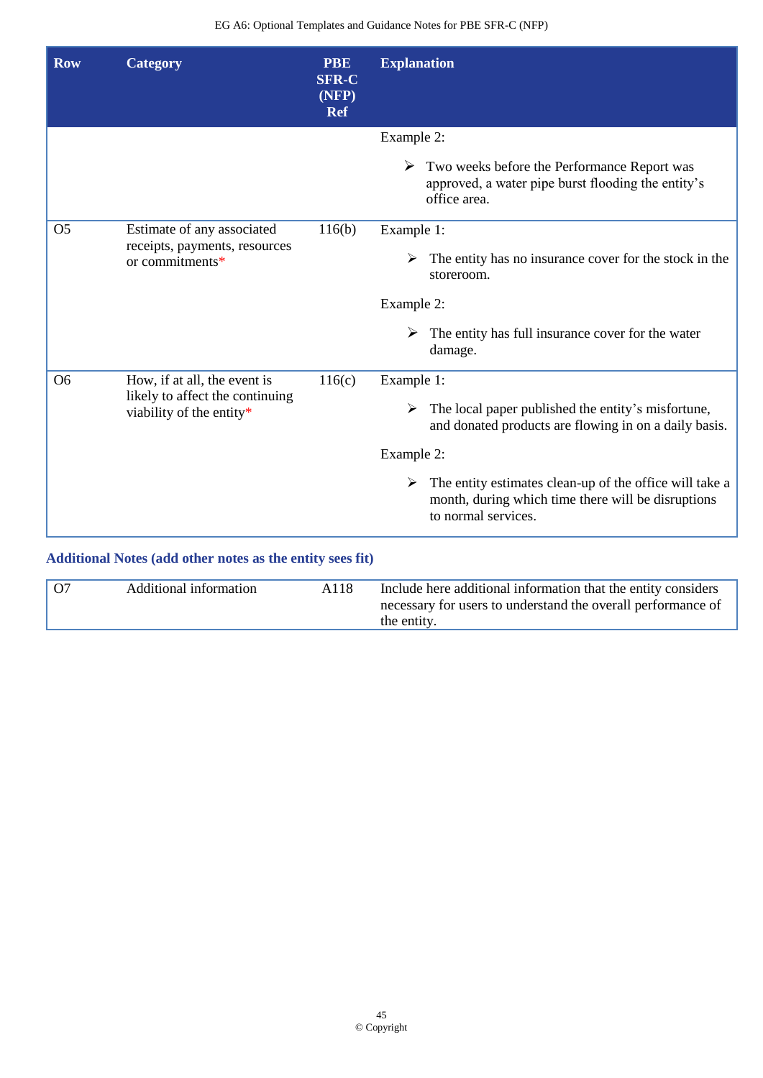| <b>Row</b>     | <b>Category</b>                                                                             | <b>PBE</b><br><b>SFR-C</b><br>(NFP)<br><b>Ref</b> | <b>Explanation</b>                                                                                                                                    |
|----------------|---------------------------------------------------------------------------------------------|---------------------------------------------------|-------------------------------------------------------------------------------------------------------------------------------------------------------|
|                |                                                                                             |                                                   | Example 2:                                                                                                                                            |
|                |                                                                                             |                                                   | $\triangleright$ Two weeks before the Performance Report was<br>approved, a water pipe burst flooding the entity's<br>office area.                    |
| O <sub>5</sub> | Estimate of any associated<br>receipts, payments, resources<br>or commitments*              | 116(b)                                            | Example 1:                                                                                                                                            |
|                |                                                                                             |                                                   | The entity has no insurance cover for the stock in the<br>storeroom.                                                                                  |
|                |                                                                                             |                                                   | Example 2:                                                                                                                                            |
|                |                                                                                             |                                                   | $\triangleright$ The entity has full insurance cover for the water<br>damage.                                                                         |
| O <sub>6</sub> | How, if at all, the event is<br>likely to affect the continuing<br>viability of the entity* | 116(c)                                            | Example 1:                                                                                                                                            |
|                |                                                                                             |                                                   | $\triangleright$ The local paper published the entity's misfortune,<br>and donated products are flowing in on a daily basis.                          |
|                |                                                                                             |                                                   | Example 2:                                                                                                                                            |
|                |                                                                                             |                                                   | $\triangleright$ The entity estimates clean-up of the office will take a<br>month, during which time there will be disruptions<br>to normal services. |
|                | Additional Notes (add other notes as the entity sees fit)                                   |                                                   |                                                                                                                                                       |

|  | $\overline{07}$ | Additional information | A118 | Include here additional information that the entity considers<br>necessary for users to understand the overall performance of<br>the entity. |
|--|-----------------|------------------------|------|----------------------------------------------------------------------------------------------------------------------------------------------|
|--|-----------------|------------------------|------|----------------------------------------------------------------------------------------------------------------------------------------------|